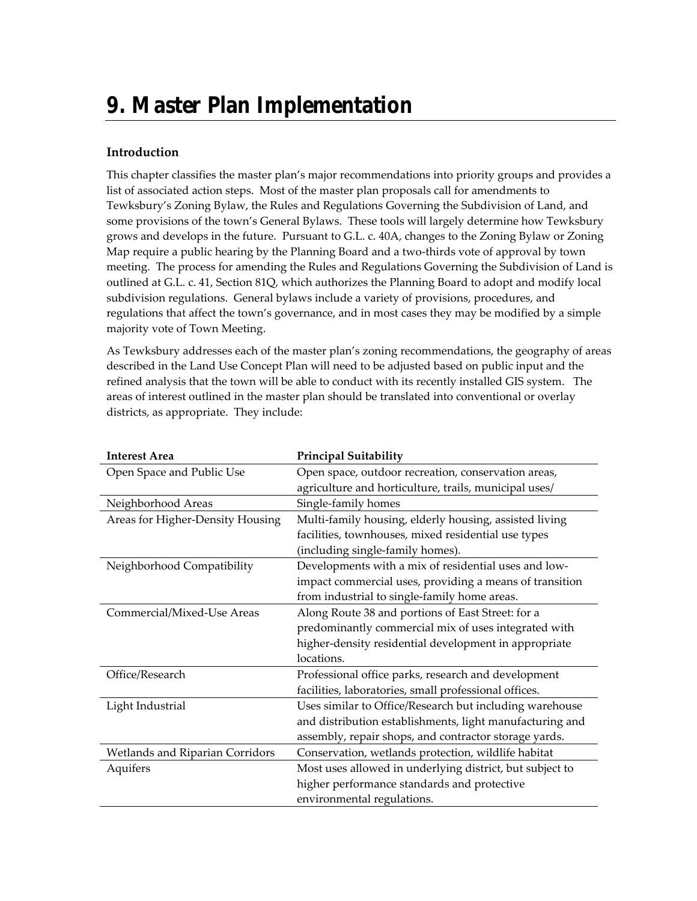# **9. Master Plan Implementation**

#### **Introduction**

This chapter classifies the master plan's major recommendations into priority groups and provides a list of associated action steps. Most of the master plan proposals call for amendments to Tewksbury's Zoning Bylaw, the Rules and Regulations Governing the Subdivision of Land, and some provisions of the town's General Bylaws. These tools will largely determine how Tewksbury grows and develops in the future. Pursuant to G.L. c. 40A, changes to the Zoning Bylaw or Zoning Map require a public hearing by the Planning Board and a two-thirds vote of approval by town meeting. The process for amending the Rules and Regulations Governing the Subdivision of Land is outlined at G.L. c. 41, Section 81Q, which authorizes the Planning Board to adopt and modify local subdivision regulations. General bylaws include a variety of provisions, procedures, and regulations that affect the town's governance, and in most cases they may be modified by a simple majority vote of Town Meeting.

As Tewksbury addresses each of the master plan's zoning recommendations, the geography of areas described in the Land Use Concept Plan will need to be adjusted based on public input and the refined analysis that the town will be able to conduct with its recently installed GIS system. The areas of interest outlined in the master plan should be translated into conventional or overlay districts, as appropriate. They include:

| <b>Interest Area</b>             | <b>Principal Suitability</b>                             |
|----------------------------------|----------------------------------------------------------|
| Open Space and Public Use        | Open space, outdoor recreation, conservation areas,      |
|                                  | agriculture and horticulture, trails, municipal uses/    |
| Neighborhood Areas               | Single-family homes                                      |
| Areas for Higher-Density Housing | Multi-family housing, elderly housing, assisted living   |
|                                  | facilities, townhouses, mixed residential use types      |
|                                  | (including single-family homes).                         |
| Neighborhood Compatibility       | Developments with a mix of residential uses and low-     |
|                                  | impact commercial uses, providing a means of transition  |
|                                  | from industrial to single-family home areas.             |
| Commercial/Mixed-Use Areas       | Along Route 38 and portions of East Street: for a        |
|                                  | predominantly commercial mix of uses integrated with     |
|                                  | higher-density residential development in appropriate    |
|                                  | locations.                                               |
| Office/Research                  | Professional office parks, research and development      |
|                                  | facilities, laboratories, small professional offices.    |
| Light Industrial                 | Uses similar to Office/Research but including warehouse  |
|                                  | and distribution establishments, light manufacturing and |
|                                  | assembly, repair shops, and contractor storage yards.    |
| Wetlands and Riparian Corridors  | Conservation, wetlands protection, wildlife habitat      |
| Aquifers                         | Most uses allowed in underlying district, but subject to |
|                                  | higher performance standards and protective              |
|                                  | environmental regulations.                               |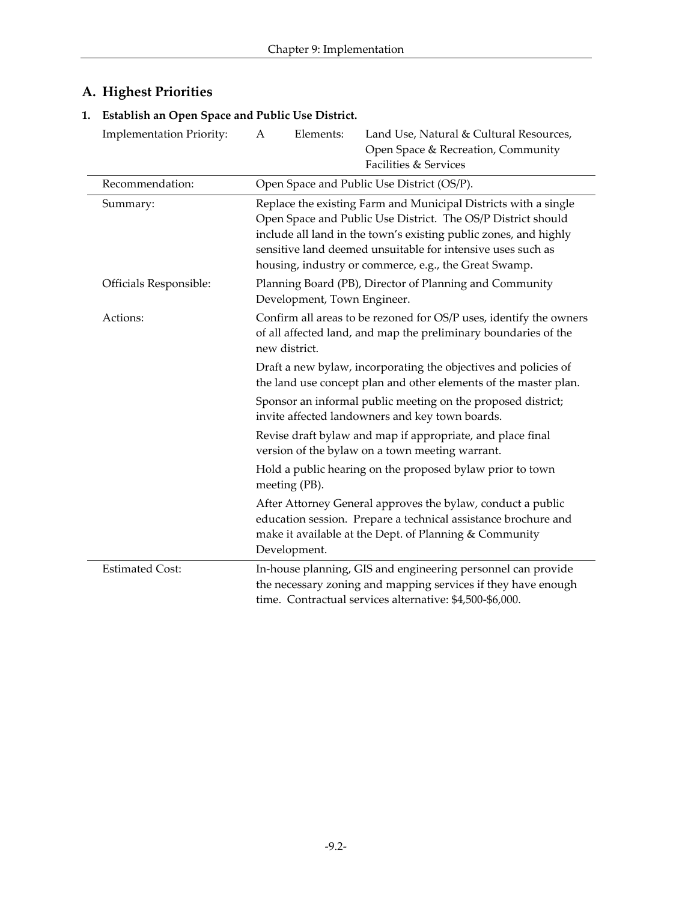## **A. Highest Priorities**

## **1. Establish an Open Space and Public Use District.**

| <b>Implementation Priority:</b> | A                                                                                                                                                      | Elements:    | Land Use, Natural & Cultural Resources,<br>Open Space & Recreation, Community<br>Facilities & Services                                                                                                                                                                                                                      |  |
|---------------------------------|--------------------------------------------------------------------------------------------------------------------------------------------------------|--------------|-----------------------------------------------------------------------------------------------------------------------------------------------------------------------------------------------------------------------------------------------------------------------------------------------------------------------------|--|
| Recommendation:                 | Open Space and Public Use District (OS/P).                                                                                                             |              |                                                                                                                                                                                                                                                                                                                             |  |
| Summary:                        |                                                                                                                                                        |              | Replace the existing Farm and Municipal Districts with a single<br>Open Space and Public Use District. The OS/P District should<br>include all land in the town's existing public zones, and highly<br>sensitive land deemed unsuitable for intensive uses such as<br>housing, industry or commerce, e.g., the Great Swamp. |  |
| Officials Responsible:          | Planning Board (PB), Director of Planning and Community<br>Development, Town Engineer.                                                                 |              |                                                                                                                                                                                                                                                                                                                             |  |
| Actions:                        | Confirm all areas to be rezoned for OS/P uses, identify the owners<br>of all affected land, and map the preliminary boundaries of the<br>new district. |              |                                                                                                                                                                                                                                                                                                                             |  |
|                                 | Draft a new bylaw, incorporating the objectives and policies of<br>the land use concept plan and other elements of the master plan.                    |              |                                                                                                                                                                                                                                                                                                                             |  |
|                                 |                                                                                                                                                        |              | Sponsor an informal public meeting on the proposed district;<br>invite affected landowners and key town boards.                                                                                                                                                                                                             |  |
|                                 |                                                                                                                                                        |              | Revise draft bylaw and map if appropriate, and place final<br>version of the bylaw on a town meeting warrant.                                                                                                                                                                                                               |  |
|                                 | Hold a public hearing on the proposed bylaw prior to town<br>meeting (PB).                                                                             |              |                                                                                                                                                                                                                                                                                                                             |  |
|                                 |                                                                                                                                                        | Development. | After Attorney General approves the bylaw, conduct a public<br>education session. Prepare a technical assistance brochure and<br>make it available at the Dept. of Planning & Community                                                                                                                                     |  |
| <b>Estimated Cost:</b>          |                                                                                                                                                        |              | In-house planning, GIS and engineering personnel can provide<br>the necessary zoning and mapping services if they have enough<br>time. Contractual services alternative: \$4,500-\$6,000.                                                                                                                                   |  |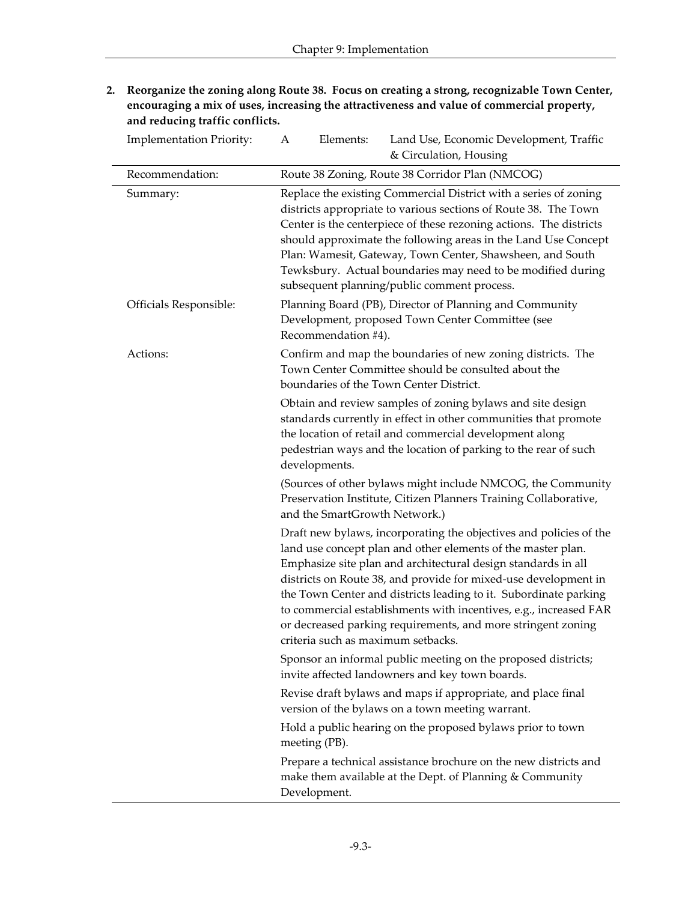**2. Reorganize the zoning along Route 38. Focus on creating a strong, recognizable Town Center, encouraging a mix of uses, increasing the attractiveness and value of commercial property, and reducing traffic conflicts.**

| <b>Implementation Priority:</b> | Elements:<br>Land Use, Economic Development, Traffic<br>A<br>& Circulation, Housing                                                                                                                                                                                                                                                                                                                                                                                                                                   |
|---------------------------------|-----------------------------------------------------------------------------------------------------------------------------------------------------------------------------------------------------------------------------------------------------------------------------------------------------------------------------------------------------------------------------------------------------------------------------------------------------------------------------------------------------------------------|
| Recommendation:                 | Route 38 Zoning, Route 38 Corridor Plan (NMCOG)                                                                                                                                                                                                                                                                                                                                                                                                                                                                       |
| Summary:                        | Replace the existing Commercial District with a series of zoning<br>districts appropriate to various sections of Route 38. The Town<br>Center is the centerpiece of these rezoning actions. The districts<br>should approximate the following areas in the Land Use Concept<br>Plan: Wamesit, Gateway, Town Center, Shawsheen, and South<br>Tewksbury. Actual boundaries may need to be modified during<br>subsequent planning/public comment process.                                                                |
| Officials Responsible:          | Planning Board (PB), Director of Planning and Community<br>Development, proposed Town Center Committee (see<br>Recommendation #4).                                                                                                                                                                                                                                                                                                                                                                                    |
| Actions:                        | Confirm and map the boundaries of new zoning districts. The<br>Town Center Committee should be consulted about the<br>boundaries of the Town Center District.                                                                                                                                                                                                                                                                                                                                                         |
|                                 | Obtain and review samples of zoning bylaws and site design<br>standards currently in effect in other communities that promote<br>the location of retail and commercial development along<br>pedestrian ways and the location of parking to the rear of such<br>developments.                                                                                                                                                                                                                                          |
|                                 | (Sources of other bylaws might include NMCOG, the Community<br>Preservation Institute, Citizen Planners Training Collaborative,<br>and the SmartGrowth Network.)                                                                                                                                                                                                                                                                                                                                                      |
|                                 | Draft new bylaws, incorporating the objectives and policies of the<br>land use concept plan and other elements of the master plan.<br>Emphasize site plan and architectural design standards in all<br>districts on Route 38, and provide for mixed-use development in<br>the Town Center and districts leading to it. Subordinate parking<br>to commercial establishments with incentives, e.g., increased FAR<br>or decreased parking requirements, and more stringent zoning<br>criteria such as maximum setbacks. |
|                                 | Sponsor an informal public meeting on the proposed districts;<br>invite affected landowners and key town boards.                                                                                                                                                                                                                                                                                                                                                                                                      |
|                                 | Revise draft bylaws and maps if appropriate, and place final<br>version of the bylaws on a town meeting warrant.                                                                                                                                                                                                                                                                                                                                                                                                      |
|                                 | Hold a public hearing on the proposed bylaws prior to town<br>meeting (PB).                                                                                                                                                                                                                                                                                                                                                                                                                                           |
|                                 | Prepare a technical assistance brochure on the new districts and<br>make them available at the Dept. of Planning & Community<br>Development.                                                                                                                                                                                                                                                                                                                                                                          |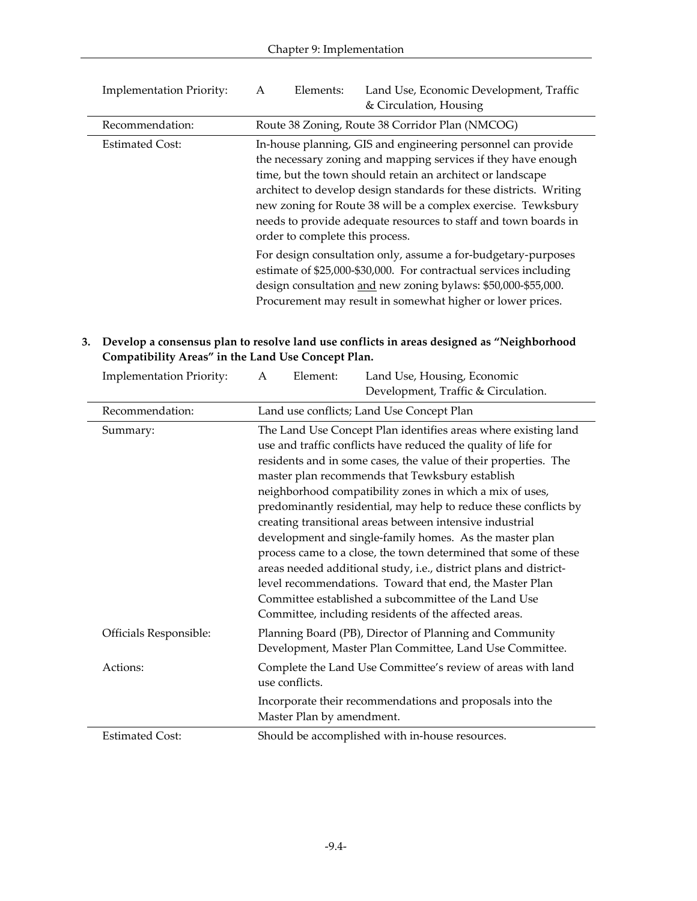| <b>Implementation Priority:</b> | Land Use, Economic Development, Traffic<br>Elements:<br>A<br>& Circulation, Housing                                                                                                                                                                                                                                                                                                                                                      |
|---------------------------------|------------------------------------------------------------------------------------------------------------------------------------------------------------------------------------------------------------------------------------------------------------------------------------------------------------------------------------------------------------------------------------------------------------------------------------------|
| Recommendation:                 | Route 38 Zoning, Route 38 Corridor Plan (NMCOG)                                                                                                                                                                                                                                                                                                                                                                                          |
| <b>Estimated Cost:</b>          | In-house planning, GIS and engineering personnel can provide<br>the necessary zoning and mapping services if they have enough<br>time, but the town should retain an architect or landscape<br>architect to develop design standards for these districts. Writing<br>new zoning for Route 38 will be a complex exercise. Tewksbury<br>needs to provide adequate resources to staff and town boards in<br>order to complete this process. |
|                                 | For design consultation only, assume a for-budgetary-purposes<br>estimate of \$25,000-\$30,000. For contractual services including<br>design consultation and new zoning bylaws: \$50,000-\$55,000.<br>Procurement may result in somewhat higher or lower prices.                                                                                                                                                                        |

#### **3. Develop a consensus plan to resolve land use conflicts in areas designed as "Neighborhood Compatibility Areas" in the Land Use Concept Plan.**

| <b>Implementation Priority:</b> | Element:<br>Land Use, Housing, Economic<br>A<br>Development, Traffic & Circulation.                                                                                                                                                                                                                                                                                                                                                                                                                                                                                                                                                                                                                                                                                      |  |
|---------------------------------|--------------------------------------------------------------------------------------------------------------------------------------------------------------------------------------------------------------------------------------------------------------------------------------------------------------------------------------------------------------------------------------------------------------------------------------------------------------------------------------------------------------------------------------------------------------------------------------------------------------------------------------------------------------------------------------------------------------------------------------------------------------------------|--|
| Recommendation:                 | Land use conflicts; Land Use Concept Plan                                                                                                                                                                                                                                                                                                                                                                                                                                                                                                                                                                                                                                                                                                                                |  |
| Summary:                        | The Land Use Concept Plan identifies areas where existing land<br>use and traffic conflicts have reduced the quality of life for<br>residents and in some cases, the value of their properties. The<br>master plan recommends that Tewksbury establish<br>neighborhood compatibility zones in which a mix of uses,<br>predominantly residential, may help to reduce these conflicts by<br>creating transitional areas between intensive industrial<br>development and single-family homes. As the master plan<br>process came to a close, the town determined that some of these<br>areas needed additional study, i.e., district plans and district-<br>level recommendations. Toward that end, the Master Plan<br>Committee established a subcommittee of the Land Use |  |
| Officials Responsible:          | Committee, including residents of the affected areas.<br>Planning Board (PB), Director of Planning and Community<br>Development, Master Plan Committee, Land Use Committee.                                                                                                                                                                                                                                                                                                                                                                                                                                                                                                                                                                                              |  |
| Actions:                        | Complete the Land Use Committee's review of areas with land<br>use conflicts.                                                                                                                                                                                                                                                                                                                                                                                                                                                                                                                                                                                                                                                                                            |  |
|                                 | Incorporate their recommendations and proposals into the<br>Master Plan by amendment.                                                                                                                                                                                                                                                                                                                                                                                                                                                                                                                                                                                                                                                                                    |  |
| <b>Estimated Cost:</b>          | Should be accomplished with in-house resources.                                                                                                                                                                                                                                                                                                                                                                                                                                                                                                                                                                                                                                                                                                                          |  |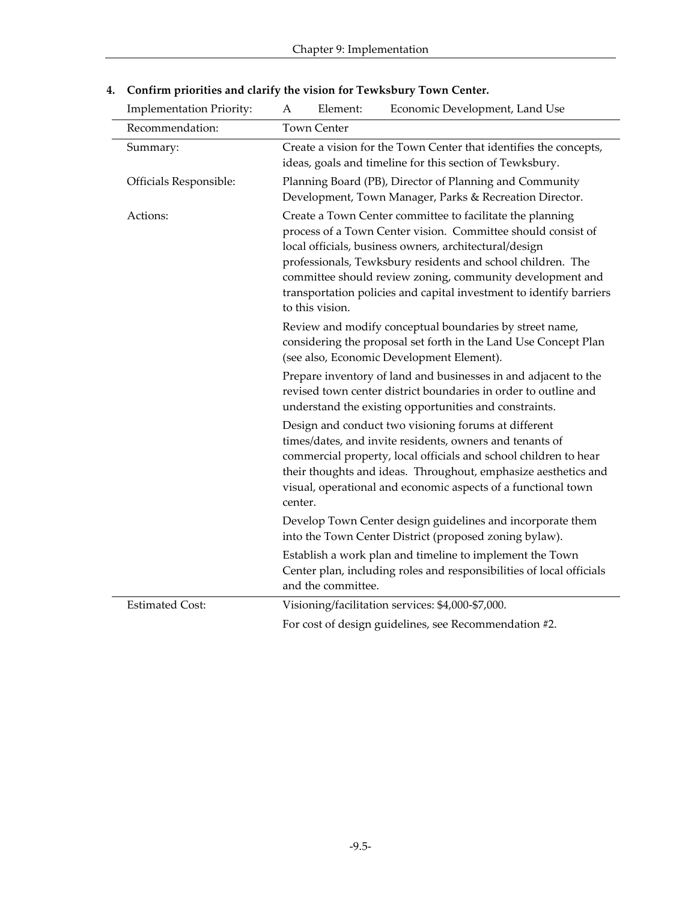| <b>Implementation Priority:</b> | A                                                                                                                                                                                                                                                                                                                                                                                                         | Element:                                                                                                           | Economic Development, Land Use                                                                                                                                                                                                                                                                                          |  |  |
|---------------------------------|-----------------------------------------------------------------------------------------------------------------------------------------------------------------------------------------------------------------------------------------------------------------------------------------------------------------------------------------------------------------------------------------------------------|--------------------------------------------------------------------------------------------------------------------|-------------------------------------------------------------------------------------------------------------------------------------------------------------------------------------------------------------------------------------------------------------------------------------------------------------------------|--|--|
| Recommendation:                 | <b>Town Center</b>                                                                                                                                                                                                                                                                                                                                                                                        |                                                                                                                    |                                                                                                                                                                                                                                                                                                                         |  |  |
| Summary:                        | Create a vision for the Town Center that identifies the concepts,<br>ideas, goals and timeline for this section of Tewksbury.                                                                                                                                                                                                                                                                             |                                                                                                                    |                                                                                                                                                                                                                                                                                                                         |  |  |
| Officials Responsible:          |                                                                                                                                                                                                                                                                                                                                                                                                           | Planning Board (PB), Director of Planning and Community<br>Development, Town Manager, Parks & Recreation Director. |                                                                                                                                                                                                                                                                                                                         |  |  |
| Actions:                        | Create a Town Center committee to facilitate the planning<br>process of a Town Center vision. Committee should consist of<br>local officials, business owners, architectural/design<br>professionals, Tewksbury residents and school children. The<br>committee should review zoning, community development and<br>transportation policies and capital investment to identify barriers<br>to this vision. |                                                                                                                    |                                                                                                                                                                                                                                                                                                                         |  |  |
|                                 | Review and modify conceptual boundaries by street name,<br>considering the proposal set forth in the Land Use Concept Plan<br>(see also, Economic Development Element).                                                                                                                                                                                                                                   |                                                                                                                    |                                                                                                                                                                                                                                                                                                                         |  |  |
|                                 |                                                                                                                                                                                                                                                                                                                                                                                                           |                                                                                                                    | Prepare inventory of land and businesses in and adjacent to the<br>revised town center district boundaries in order to outline and<br>understand the existing opportunities and constraints.                                                                                                                            |  |  |
|                                 | center.                                                                                                                                                                                                                                                                                                                                                                                                   |                                                                                                                    | Design and conduct two visioning forums at different<br>times/dates, and invite residents, owners and tenants of<br>commercial property, local officials and school children to hear<br>their thoughts and ideas. Throughout, emphasize aesthetics and<br>visual, operational and economic aspects of a functional town |  |  |
|                                 | Develop Town Center design guidelines and incorporate them<br>into the Town Center District (proposed zoning bylaw).                                                                                                                                                                                                                                                                                      |                                                                                                                    |                                                                                                                                                                                                                                                                                                                         |  |  |
|                                 |                                                                                                                                                                                                                                                                                                                                                                                                           | and the committee.                                                                                                 | Establish a work plan and timeline to implement the Town<br>Center plan, including roles and responsibilities of local officials                                                                                                                                                                                        |  |  |
| <b>Estimated Cost:</b>          |                                                                                                                                                                                                                                                                                                                                                                                                           |                                                                                                                    | Visioning/facilitation services: \$4,000-\$7,000.                                                                                                                                                                                                                                                                       |  |  |
|                                 | For cost of design guidelines, see Recommendation #2.                                                                                                                                                                                                                                                                                                                                                     |                                                                                                                    |                                                                                                                                                                                                                                                                                                                         |  |  |

## **4. Confirm priorities and clarify the vision for Tewksbury Town Center.**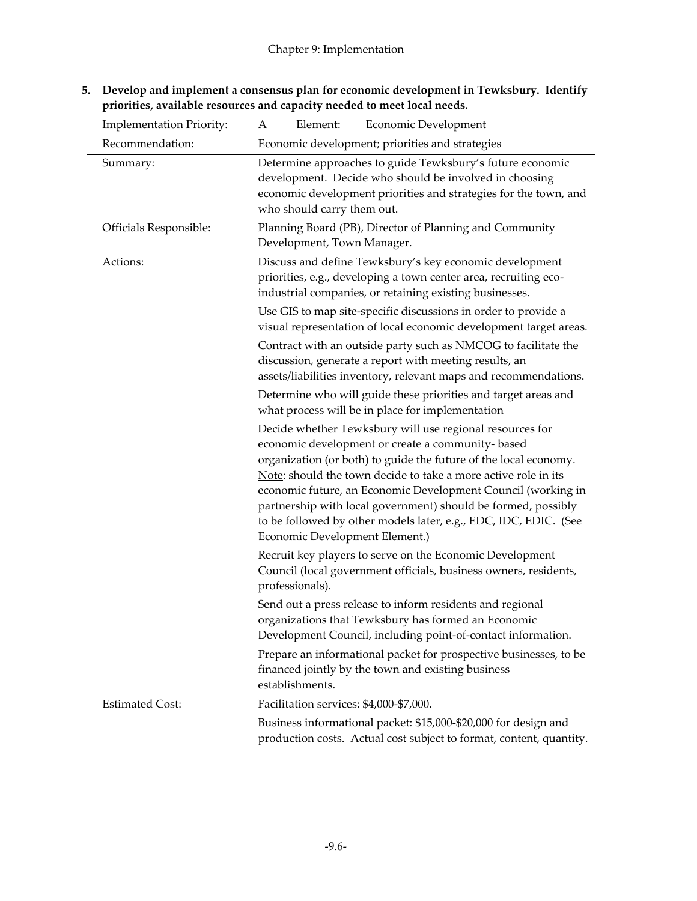| <b>Implementation Priority:</b> | Element:<br>Economic Development<br>A                                                                                                                                                                                                                                                                                                                                                                                                                                                     |  |  |
|---------------------------------|-------------------------------------------------------------------------------------------------------------------------------------------------------------------------------------------------------------------------------------------------------------------------------------------------------------------------------------------------------------------------------------------------------------------------------------------------------------------------------------------|--|--|
| Recommendation:                 | Economic development; priorities and strategies                                                                                                                                                                                                                                                                                                                                                                                                                                           |  |  |
| Summary:                        | Determine approaches to guide Tewksbury's future economic<br>development. Decide who should be involved in choosing<br>economic development priorities and strategies for the town, and<br>who should carry them out.<br>Planning Board (PB), Director of Planning and Community<br>Development, Town Manager.                                                                                                                                                                            |  |  |
| Officials Responsible:          |                                                                                                                                                                                                                                                                                                                                                                                                                                                                                           |  |  |
| Actions:                        | Discuss and define Tewksbury's key economic development<br>priorities, e.g., developing a town center area, recruiting eco-<br>industrial companies, or retaining existing businesses.                                                                                                                                                                                                                                                                                                    |  |  |
|                                 | Use GIS to map site-specific discussions in order to provide a<br>visual representation of local economic development target areas.                                                                                                                                                                                                                                                                                                                                                       |  |  |
|                                 | Contract with an outside party such as NMCOG to facilitate the<br>discussion, generate a report with meeting results, an<br>assets/liabilities inventory, relevant maps and recommendations.                                                                                                                                                                                                                                                                                              |  |  |
|                                 | Determine who will guide these priorities and target areas and<br>what process will be in place for implementation                                                                                                                                                                                                                                                                                                                                                                        |  |  |
|                                 | Decide whether Tewksbury will use regional resources for<br>economic development or create a community-based<br>organization (or both) to guide the future of the local economy.<br>Note: should the town decide to take a more active role in its<br>economic future, an Economic Development Council (working in<br>partnership with local government) should be formed, possibly<br>to be followed by other models later, e.g., EDC, IDC, EDIC. (See<br>Economic Development Element.) |  |  |
|                                 | Recruit key players to serve on the Economic Development<br>Council (local government officials, business owners, residents,<br>professionals).                                                                                                                                                                                                                                                                                                                                           |  |  |
|                                 | Send out a press release to inform residents and regional<br>organizations that Tewksbury has formed an Economic<br>Development Council, including point-of-contact information.                                                                                                                                                                                                                                                                                                          |  |  |
|                                 | Prepare an informational packet for prospective businesses, to be<br>financed jointly by the town and existing business<br>establishments.                                                                                                                                                                                                                                                                                                                                                |  |  |
| <b>Estimated Cost:</b>          | Facilitation services: \$4,000-\$7,000.                                                                                                                                                                                                                                                                                                                                                                                                                                                   |  |  |
|                                 | Business informational packet: \$15,000-\$20,000 for design and<br>production costs. Actual cost subject to format, content, quantity.                                                                                                                                                                                                                                                                                                                                                    |  |  |

**5. Develop and implement a consensus plan for economic development in Tewksbury. Identify priorities, available resources and capacity needed to meet local needs.**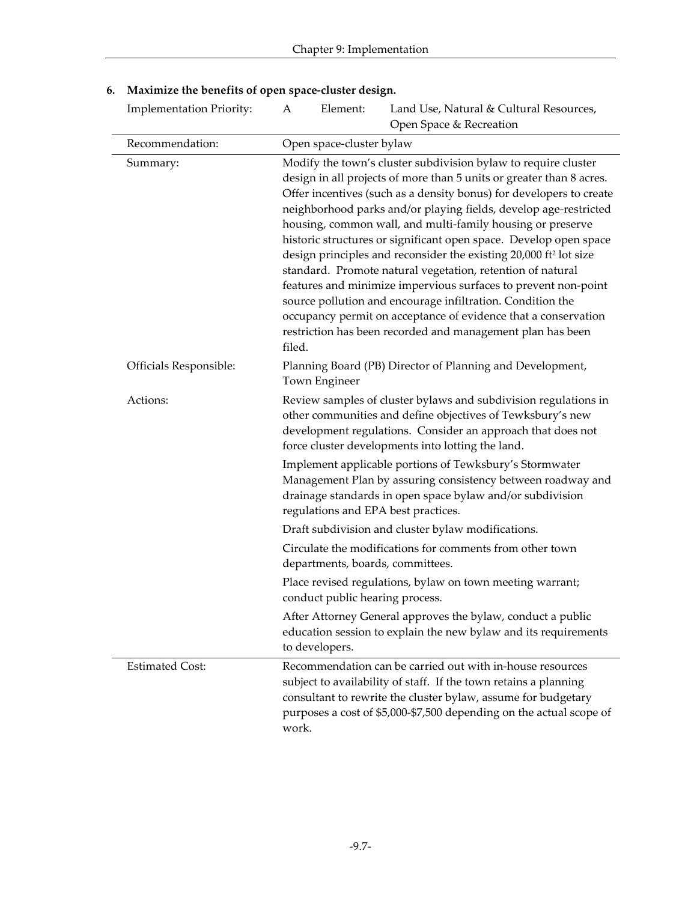| <b>Implementation Priority:</b> | A                                                                                            | Element:                                                                   | Land Use, Natural & Cultural Resources,<br>Open Space & Recreation                                                                                                                                                                                                                                                                                                                                                                                                                                                                                                                                                                                                                                                                                                                                                                  |  |  |
|---------------------------------|----------------------------------------------------------------------------------------------|----------------------------------------------------------------------------|-------------------------------------------------------------------------------------------------------------------------------------------------------------------------------------------------------------------------------------------------------------------------------------------------------------------------------------------------------------------------------------------------------------------------------------------------------------------------------------------------------------------------------------------------------------------------------------------------------------------------------------------------------------------------------------------------------------------------------------------------------------------------------------------------------------------------------------|--|--|
| Recommendation:                 |                                                                                              | Open space-cluster bylaw                                                   |                                                                                                                                                                                                                                                                                                                                                                                                                                                                                                                                                                                                                                                                                                                                                                                                                                     |  |  |
| Summary:                        | filed.                                                                                       |                                                                            | Modify the town's cluster subdivision bylaw to require cluster<br>design in all projects of more than 5 units or greater than 8 acres.<br>Offer incentives (such as a density bonus) for developers to create<br>neighborhood parks and/or playing fields, develop age-restricted<br>housing, common wall, and multi-family housing or preserve<br>historic structures or significant open space. Develop open space<br>design principles and reconsider the existing 20,000 ft <sup>2</sup> lot size<br>standard. Promote natural vegetation, retention of natural<br>features and minimize impervious surfaces to prevent non-point<br>source pollution and encourage infiltration. Condition the<br>occupancy permit on acceptance of evidence that a conservation<br>restriction has been recorded and management plan has been |  |  |
| Officials Responsible:          |                                                                                              | Planning Board (PB) Director of Planning and Development,<br>Town Engineer |                                                                                                                                                                                                                                                                                                                                                                                                                                                                                                                                                                                                                                                                                                                                                                                                                                     |  |  |
| Actions:                        |                                                                                              |                                                                            | Review samples of cluster bylaws and subdivision regulations in<br>other communities and define objectives of Tewksbury's new<br>development regulations. Consider an approach that does not<br>force cluster developments into lotting the land.<br>Implement applicable portions of Tewksbury's Stormwater                                                                                                                                                                                                                                                                                                                                                                                                                                                                                                                        |  |  |
|                                 |                                                                                              |                                                                            | Management Plan by assuring consistency between roadway and<br>drainage standards in open space bylaw and/or subdivision<br>regulations and EPA best practices.                                                                                                                                                                                                                                                                                                                                                                                                                                                                                                                                                                                                                                                                     |  |  |
|                                 |                                                                                              |                                                                            | Draft subdivision and cluster bylaw modifications.                                                                                                                                                                                                                                                                                                                                                                                                                                                                                                                                                                                                                                                                                                                                                                                  |  |  |
|                                 |                                                                                              |                                                                            | Circulate the modifications for comments from other town<br>departments, boards, committees.                                                                                                                                                                                                                                                                                                                                                                                                                                                                                                                                                                                                                                                                                                                                        |  |  |
|                                 | Place revised regulations, bylaw on town meeting warrant;<br>conduct public hearing process. |                                                                            |                                                                                                                                                                                                                                                                                                                                                                                                                                                                                                                                                                                                                                                                                                                                                                                                                                     |  |  |
|                                 |                                                                                              | to developers.                                                             | After Attorney General approves the bylaw, conduct a public<br>education session to explain the new bylaw and its requirements                                                                                                                                                                                                                                                                                                                                                                                                                                                                                                                                                                                                                                                                                                      |  |  |
| <b>Estimated Cost:</b>          | work.                                                                                        |                                                                            | Recommendation can be carried out with in-house resources<br>subject to availability of staff. If the town retains a planning<br>consultant to rewrite the cluster bylaw, assume for budgetary<br>purposes a cost of \$5,000-\$7,500 depending on the actual scope of                                                                                                                                                                                                                                                                                                                                                                                                                                                                                                                                                               |  |  |

## **6. Maximize the benefits of open space-cluster design.**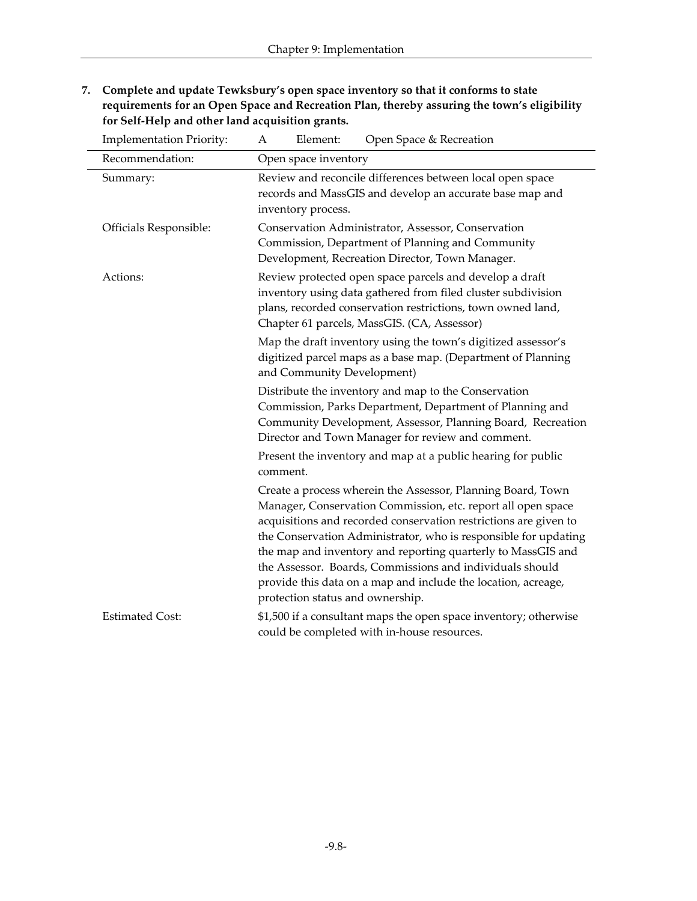**7. Complete and update Tewksbury's open space inventory so that it conforms to state requirements for an Open Space and Recreation Plan, thereby assuring the town's eligibility for Self-Help and other land acquisition grants.**

| <b>Implementation Priority:</b> | Open Space & Recreation<br>Element:<br>Α                                                                                                                                                                                                                                                                                                                                                                                                                                                            |  |  |
|---------------------------------|-----------------------------------------------------------------------------------------------------------------------------------------------------------------------------------------------------------------------------------------------------------------------------------------------------------------------------------------------------------------------------------------------------------------------------------------------------------------------------------------------------|--|--|
| Recommendation:                 | Open space inventory                                                                                                                                                                                                                                                                                                                                                                                                                                                                                |  |  |
| Summary:                        | Review and reconcile differences between local open space<br>records and MassGIS and develop an accurate base map and<br>inventory process.                                                                                                                                                                                                                                                                                                                                                         |  |  |
| Officials Responsible:          | Conservation Administrator, Assessor, Conservation<br>Commission, Department of Planning and Community<br>Development, Recreation Director, Town Manager.                                                                                                                                                                                                                                                                                                                                           |  |  |
| Actions:                        | Review protected open space parcels and develop a draft<br>inventory using data gathered from filed cluster subdivision<br>plans, recorded conservation restrictions, town owned land,<br>Chapter 61 parcels, MassGIS. (CA, Assessor)                                                                                                                                                                                                                                                               |  |  |
|                                 | Map the draft inventory using the town's digitized assessor's<br>digitized parcel maps as a base map. (Department of Planning<br>and Community Development)                                                                                                                                                                                                                                                                                                                                         |  |  |
|                                 | Distribute the inventory and map to the Conservation<br>Commission, Parks Department, Department of Planning and<br>Community Development, Assessor, Planning Board, Recreation<br>Director and Town Manager for review and comment.                                                                                                                                                                                                                                                                |  |  |
|                                 | Present the inventory and map at a public hearing for public<br>comment.                                                                                                                                                                                                                                                                                                                                                                                                                            |  |  |
|                                 | Create a process wherein the Assessor, Planning Board, Town<br>Manager, Conservation Commission, etc. report all open space<br>acquisitions and recorded conservation restrictions are given to<br>the Conservation Administrator, who is responsible for updating<br>the map and inventory and reporting quarterly to MassGIS and<br>the Assessor. Boards, Commissions and individuals should<br>provide this data on a map and include the location, acreage,<br>protection status and ownership. |  |  |
| <b>Estimated Cost:</b>          | \$1,500 if a consultant maps the open space inventory; otherwise<br>could be completed with in-house resources.                                                                                                                                                                                                                                                                                                                                                                                     |  |  |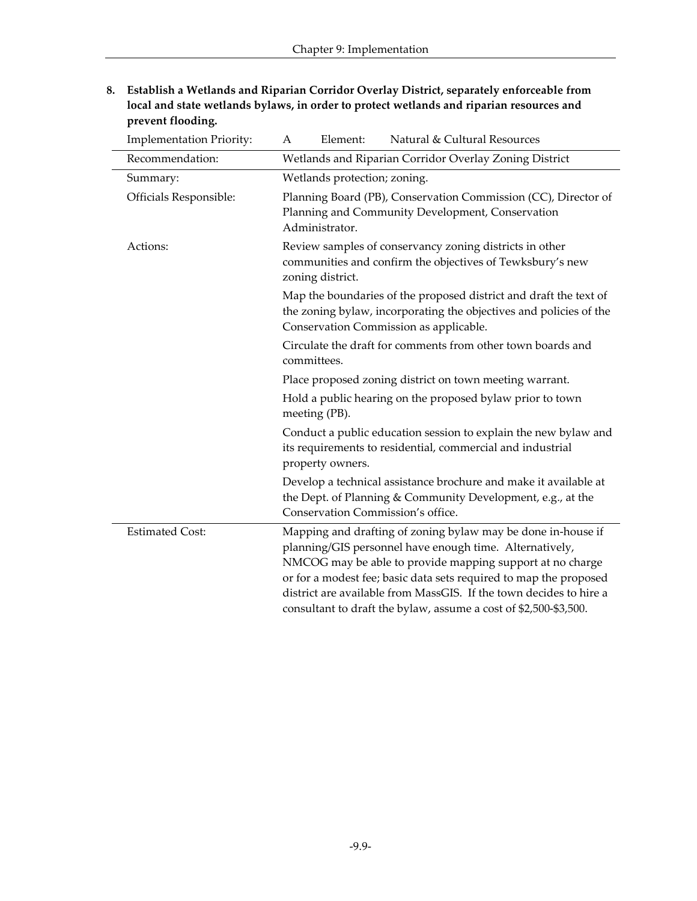| 8. Establish a Wetlands and Riparian Corridor Overlay District, separately enforceable from |
|---------------------------------------------------------------------------------------------|
| local and state wetlands bylaws, in order to protect wetlands and riparian resources and    |
| prevent flooding.                                                                           |

| <b>Implementation Priority:</b> | Natural & Cultural Resources<br>Element:<br>А                                                                                                                                                                                                                                                                                                                                                       |  |  |  |
|---------------------------------|-----------------------------------------------------------------------------------------------------------------------------------------------------------------------------------------------------------------------------------------------------------------------------------------------------------------------------------------------------------------------------------------------------|--|--|--|
| Recommendation:                 | Wetlands and Riparian Corridor Overlay Zoning District                                                                                                                                                                                                                                                                                                                                              |  |  |  |
| Summary:                        | Wetlands protection; zoning.                                                                                                                                                                                                                                                                                                                                                                        |  |  |  |
| Officials Responsible:          | Planning Board (PB), Conservation Commission (CC), Director of<br>Planning and Community Development, Conservation<br>Administrator.                                                                                                                                                                                                                                                                |  |  |  |
| Actions:                        | Review samples of conservancy zoning districts in other<br>communities and confirm the objectives of Tewksbury's new<br>zoning district.                                                                                                                                                                                                                                                            |  |  |  |
|                                 | Map the boundaries of the proposed district and draft the text of<br>the zoning bylaw, incorporating the objectives and policies of the<br>Conservation Commission as applicable.                                                                                                                                                                                                                   |  |  |  |
|                                 | Circulate the draft for comments from other town boards and<br>committees.                                                                                                                                                                                                                                                                                                                          |  |  |  |
|                                 | Place proposed zoning district on town meeting warrant.                                                                                                                                                                                                                                                                                                                                             |  |  |  |
|                                 | Hold a public hearing on the proposed bylaw prior to town<br>meeting (PB).                                                                                                                                                                                                                                                                                                                          |  |  |  |
|                                 | Conduct a public education session to explain the new bylaw and<br>its requirements to residential, commercial and industrial<br>property owners.                                                                                                                                                                                                                                                   |  |  |  |
|                                 | Develop a technical assistance brochure and make it available at<br>the Dept. of Planning & Community Development, e.g., at the<br>Conservation Commission's office.                                                                                                                                                                                                                                |  |  |  |
| <b>Estimated Cost:</b>          | Mapping and drafting of zoning bylaw may be done in-house if<br>planning/GIS personnel have enough time. Alternatively,<br>NMCOG may be able to provide mapping support at no charge<br>or for a modest fee; basic data sets required to map the proposed<br>district are available from MassGIS. If the town decides to hire a<br>consultant to draft the bylaw, assume a cost of \$2,500-\$3,500. |  |  |  |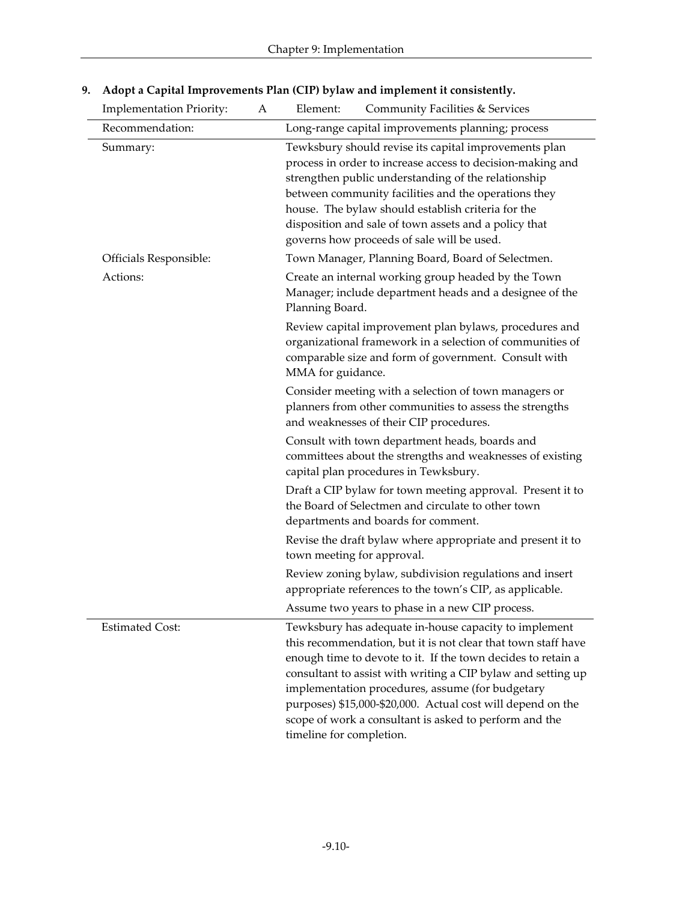| <b>Implementation Priority:</b> | A | Element:<br>Community Facilities & Services                                                                                                                                                                                                                                                                                                                                                                                                                     |
|---------------------------------|---|-----------------------------------------------------------------------------------------------------------------------------------------------------------------------------------------------------------------------------------------------------------------------------------------------------------------------------------------------------------------------------------------------------------------------------------------------------------------|
| Recommendation:                 |   | Long-range capital improvements planning; process                                                                                                                                                                                                                                                                                                                                                                                                               |
| Summary:                        |   | Tewksbury should revise its capital improvements plan<br>process in order to increase access to decision-making and<br>strengthen public understanding of the relationship<br>between community facilities and the operations they<br>house. The bylaw should establish criteria for the<br>disposition and sale of town assets and a policy that<br>governs how proceeds of sale will be used.                                                                 |
| Officials Responsible:          |   | Town Manager, Planning Board, Board of Selectmen.                                                                                                                                                                                                                                                                                                                                                                                                               |
| Actions:                        |   | Create an internal working group headed by the Town<br>Manager; include department heads and a designee of the<br>Planning Board.                                                                                                                                                                                                                                                                                                                               |
|                                 |   | Review capital improvement plan bylaws, procedures and<br>organizational framework in a selection of communities of<br>comparable size and form of government. Consult with<br>MMA for guidance.                                                                                                                                                                                                                                                                |
|                                 |   | Consider meeting with a selection of town managers or<br>planners from other communities to assess the strengths<br>and weaknesses of their CIP procedures.                                                                                                                                                                                                                                                                                                     |
|                                 |   | Consult with town department heads, boards and<br>committees about the strengths and weaknesses of existing<br>capital plan procedures in Tewksbury.                                                                                                                                                                                                                                                                                                            |
|                                 |   | Draft a CIP bylaw for town meeting approval. Present it to<br>the Board of Selectmen and circulate to other town<br>departments and boards for comment.                                                                                                                                                                                                                                                                                                         |
|                                 |   | Revise the draft bylaw where appropriate and present it to<br>town meeting for approval.                                                                                                                                                                                                                                                                                                                                                                        |
|                                 |   | Review zoning bylaw, subdivision regulations and insert<br>appropriate references to the town's CIP, as applicable.                                                                                                                                                                                                                                                                                                                                             |
|                                 |   | Assume two years to phase in a new CIP process.                                                                                                                                                                                                                                                                                                                                                                                                                 |
| <b>Estimated Cost:</b>          |   | Tewksbury has adequate in-house capacity to implement<br>this recommendation, but it is not clear that town staff have<br>enough time to devote to it. If the town decides to retain a<br>consultant to assist with writing a CIP bylaw and setting up<br>implementation procedures, assume (for budgetary<br>purposes) \$15,000-\$20,000. Actual cost will depend on the<br>scope of work a consultant is asked to perform and the<br>timeline for completion. |

## **9. Adopt a Capital Improvements Plan (CIP) bylaw and implement it consistently.**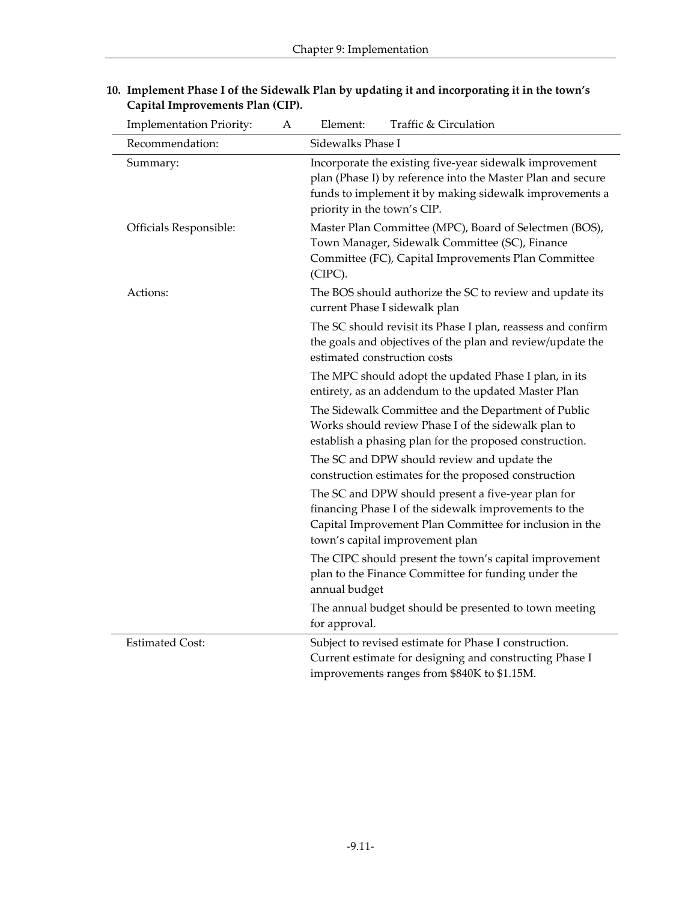| <b>Implementation Priority:</b> | A | Traffic & Circulation<br>Element:                                                                                                                                                                                |  |  |  |
|---------------------------------|---|------------------------------------------------------------------------------------------------------------------------------------------------------------------------------------------------------------------|--|--|--|
| Recommendation:                 |   | Sidewalks Phase I                                                                                                                                                                                                |  |  |  |
| Summary:                        |   | Incorporate the existing five-year sidewalk improvement<br>plan (Phase I) by reference into the Master Plan and secure<br>funds to implement it by making sidewalk improvements a<br>priority in the town's CIP. |  |  |  |
| Officials Responsible:          |   | Master Plan Committee (MPC), Board of Selectmen (BOS),<br>Town Manager, Sidewalk Committee (SC), Finance<br>Committee (FC), Capital Improvements Plan Committee<br>(CIPC).                                       |  |  |  |
| Actions:                        |   | The BOS should authorize the SC to review and update its<br>current Phase I sidewalk plan                                                                                                                        |  |  |  |
|                                 |   | The SC should revisit its Phase I plan, reassess and confirm<br>the goals and objectives of the plan and review/update the<br>estimated construction costs                                                       |  |  |  |
|                                 |   | The MPC should adopt the updated Phase I plan, in its<br>entirety, as an addendum to the updated Master Plan                                                                                                     |  |  |  |
|                                 |   | The Sidewalk Committee and the Department of Public<br>Works should review Phase I of the sidewalk plan to<br>establish a phasing plan for the proposed construction.                                            |  |  |  |
|                                 |   | The SC and DPW should review and update the<br>construction estimates for the proposed construction                                                                                                              |  |  |  |
|                                 |   | The SC and DPW should present a five-year plan for<br>financing Phase I of the sidewalk improvements to the<br>Capital Improvement Plan Committee for inclusion in the<br>town's capital improvement plan        |  |  |  |
|                                 |   | The CIPC should present the town's capital improvement<br>plan to the Finance Committee for funding under the<br>annual budget                                                                                   |  |  |  |
|                                 |   | The annual budget should be presented to town meeting<br>for approval.                                                                                                                                           |  |  |  |
| <b>Estimated Cost:</b>          |   | Subject to revised estimate for Phase I construction.<br>Current estimate for designing and constructing Phase I<br>improvements ranges from \$840K to \$1.15M.                                                  |  |  |  |

#### **10. Implement Phase I of the Sidewalk Plan by updating it and incorporating it in the town's Capital Improvements Plan (CIP).**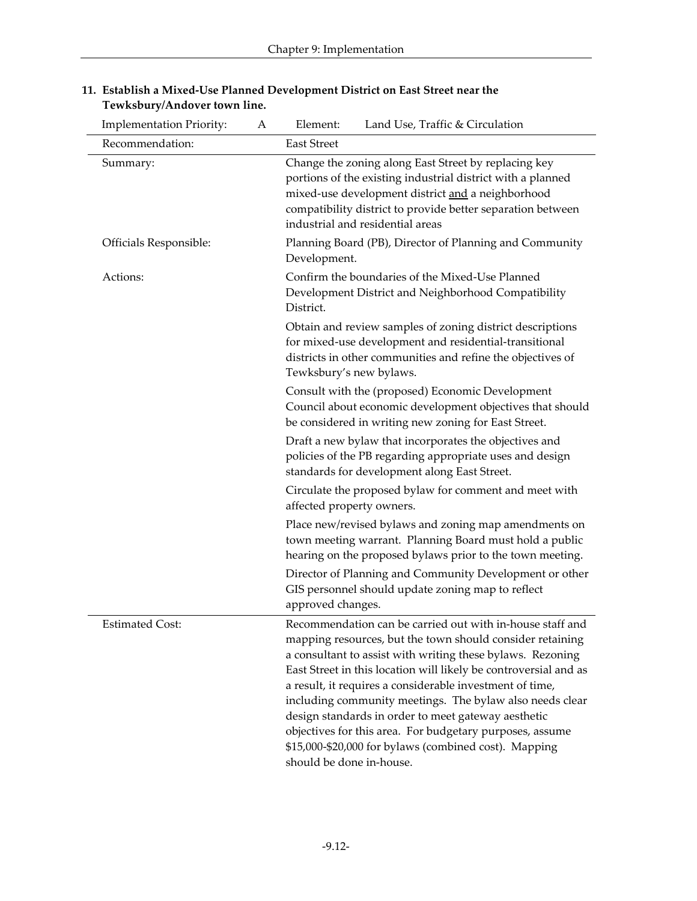| <b>Implementation Priority:</b> | A | Element:<br>Land Use, Traffic & Circulation                                                                                                                                                                                                                                                                                                                                                                                                                                                                                                                                              |  |
|---------------------------------|---|------------------------------------------------------------------------------------------------------------------------------------------------------------------------------------------------------------------------------------------------------------------------------------------------------------------------------------------------------------------------------------------------------------------------------------------------------------------------------------------------------------------------------------------------------------------------------------------|--|
| Recommendation:                 |   | <b>East Street</b>                                                                                                                                                                                                                                                                                                                                                                                                                                                                                                                                                                       |  |
| Summary:                        |   | Change the zoning along East Street by replacing key<br>portions of the existing industrial district with a planned<br>mixed-use development district and a neighborhood<br>compatibility district to provide better separation between<br>industrial and residential areas                                                                                                                                                                                                                                                                                                              |  |
| Officials Responsible:          |   | Planning Board (PB), Director of Planning and Community<br>Development.                                                                                                                                                                                                                                                                                                                                                                                                                                                                                                                  |  |
| Actions:                        |   | Confirm the boundaries of the Mixed-Use Planned<br>Development District and Neighborhood Compatibility<br>District.                                                                                                                                                                                                                                                                                                                                                                                                                                                                      |  |
|                                 |   | Obtain and review samples of zoning district descriptions<br>for mixed-use development and residential-transitional<br>districts in other communities and refine the objectives of<br>Tewksbury's new bylaws.                                                                                                                                                                                                                                                                                                                                                                            |  |
|                                 |   | Consult with the (proposed) Economic Development<br>Council about economic development objectives that should<br>be considered in writing new zoning for East Street.                                                                                                                                                                                                                                                                                                                                                                                                                    |  |
|                                 |   | Draft a new bylaw that incorporates the objectives and<br>policies of the PB regarding appropriate uses and design<br>standards for development along East Street.                                                                                                                                                                                                                                                                                                                                                                                                                       |  |
|                                 |   | Circulate the proposed bylaw for comment and meet with<br>affected property owners.                                                                                                                                                                                                                                                                                                                                                                                                                                                                                                      |  |
|                                 |   | Place new/revised bylaws and zoning map amendments on<br>town meeting warrant. Planning Board must hold a public<br>hearing on the proposed bylaws prior to the town meeting.                                                                                                                                                                                                                                                                                                                                                                                                            |  |
|                                 |   | Director of Planning and Community Development or other<br>GIS personnel should update zoning map to reflect<br>approved changes.                                                                                                                                                                                                                                                                                                                                                                                                                                                        |  |
| <b>Estimated Cost:</b>          |   | Recommendation can be carried out with in-house staff and<br>mapping resources, but the town should consider retaining<br>a consultant to assist with writing these bylaws. Rezoning<br>East Street in this location will likely be controversial and as<br>a result, it requires a considerable investment of time,<br>including community meetings. The bylaw also needs clear<br>design standards in order to meet gateway aesthetic<br>objectives for this area. For budgetary purposes, assume<br>\$15,000-\$20,000 for bylaws (combined cost). Mapping<br>should be done in-house. |  |

#### **11. Establish a Mixed-Use Planned Development District on East Street near the Tewksbury/Andover town line.**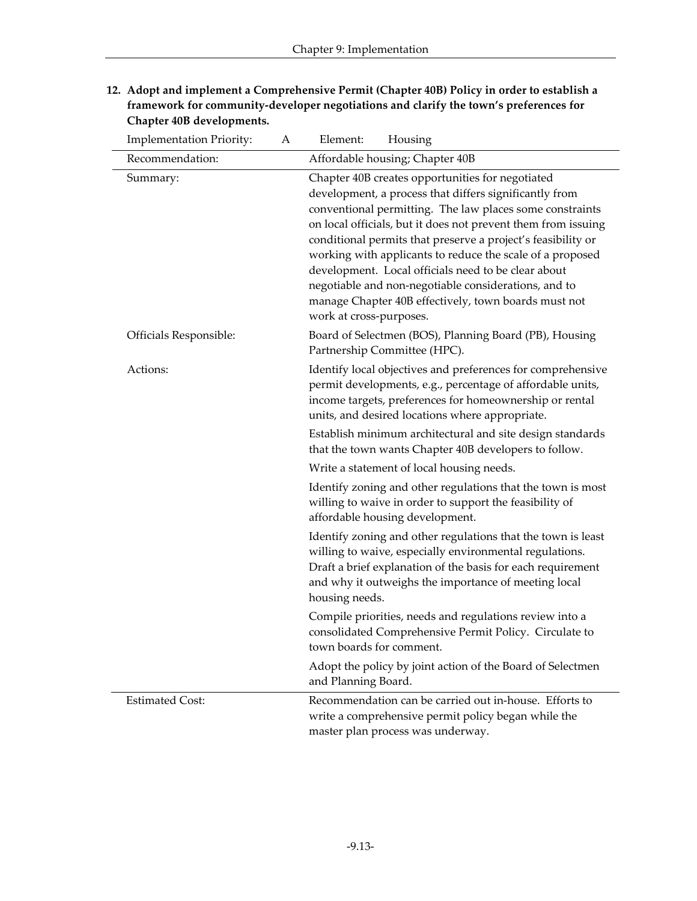| <b>Implementation Priority:</b> | A | Element:<br>Housing                                                                                                                                                                                                                                                                                                                                                                                                                                                                                                                                                    |  |  |  |
|---------------------------------|---|------------------------------------------------------------------------------------------------------------------------------------------------------------------------------------------------------------------------------------------------------------------------------------------------------------------------------------------------------------------------------------------------------------------------------------------------------------------------------------------------------------------------------------------------------------------------|--|--|--|
| Recommendation:                 |   | Affordable housing; Chapter 40B                                                                                                                                                                                                                                                                                                                                                                                                                                                                                                                                        |  |  |  |
| Summary:                        |   | Chapter 40B creates opportunities for negotiated<br>development, a process that differs significantly from<br>conventional permitting. The law places some constraints<br>on local officials, but it does not prevent them from issuing<br>conditional permits that preserve a project's feasibility or<br>working with applicants to reduce the scale of a proposed<br>development. Local officials need to be clear about<br>negotiable and non-negotiable considerations, and to<br>manage Chapter 40B effectively, town boards must not<br>work at cross-purposes. |  |  |  |
| Officials Responsible:          |   | Board of Selectmen (BOS), Planning Board (PB), Housing<br>Partnership Committee (HPC).                                                                                                                                                                                                                                                                                                                                                                                                                                                                                 |  |  |  |
| Actions:                        |   | Identify local objectives and preferences for comprehensive<br>permit developments, e.g., percentage of affordable units,<br>income targets, preferences for homeownership or rental<br>units, and desired locations where appropriate.                                                                                                                                                                                                                                                                                                                                |  |  |  |
|                                 |   | Establish minimum architectural and site design standards<br>that the town wants Chapter 40B developers to follow.                                                                                                                                                                                                                                                                                                                                                                                                                                                     |  |  |  |
|                                 |   | Write a statement of local housing needs.                                                                                                                                                                                                                                                                                                                                                                                                                                                                                                                              |  |  |  |
|                                 |   | Identify zoning and other regulations that the town is most<br>willing to waive in order to support the feasibility of<br>affordable housing development.                                                                                                                                                                                                                                                                                                                                                                                                              |  |  |  |
|                                 |   | Identify zoning and other regulations that the town is least<br>willing to waive, especially environmental regulations.<br>Draft a brief explanation of the basis for each requirement<br>and why it outweighs the importance of meeting local<br>housing needs.                                                                                                                                                                                                                                                                                                       |  |  |  |
|                                 |   | Compile priorities, needs and regulations review into a<br>consolidated Comprehensive Permit Policy. Circulate to<br>town boards for comment.                                                                                                                                                                                                                                                                                                                                                                                                                          |  |  |  |
|                                 |   | Adopt the policy by joint action of the Board of Selectmen<br>and Planning Board.                                                                                                                                                                                                                                                                                                                                                                                                                                                                                      |  |  |  |
| <b>Estimated Cost:</b>          |   | Recommendation can be carried out in-house. Efforts to<br>write a comprehensive permit policy began while the<br>master plan process was underway.                                                                                                                                                                                                                                                                                                                                                                                                                     |  |  |  |

**12. Adopt and implement a Comprehensive Permit (Chapter 40B) Policy in order to establish a framework for community-developer negotiations and clarify the town's preferences for Chapter 40B developments.**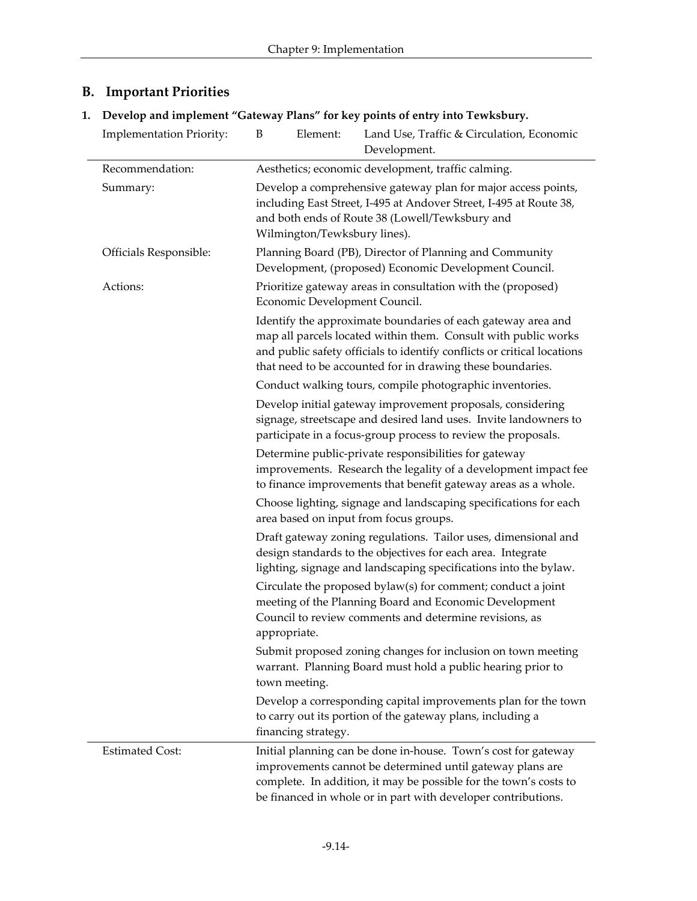| <b>B.</b> Important Priorities |
|--------------------------------|
|                                |

**1. Develop and implement "Gateway Plans" for key points of entry into Tewksbury.**

| <b>Implementation Priority:</b> | B                                                                                                                                                                                                                                                                       | Element:                                                                                                         | Land Use, Traffic & Circulation, Economic<br>Development.                                                                                                                                                                                                         |  |  |  |
|---------------------------------|-------------------------------------------------------------------------------------------------------------------------------------------------------------------------------------------------------------------------------------------------------------------------|------------------------------------------------------------------------------------------------------------------|-------------------------------------------------------------------------------------------------------------------------------------------------------------------------------------------------------------------------------------------------------------------|--|--|--|
| Recommendation:                 |                                                                                                                                                                                                                                                                         | Aesthetics; economic development, traffic calming.                                                               |                                                                                                                                                                                                                                                                   |  |  |  |
| Summary:                        | Develop a comprehensive gateway plan for major access points,<br>including East Street, I-495 at Andover Street, I-495 at Route 38,<br>and both ends of Route 38 (Lowell/Tewksbury and<br>Wilmington/Tewksbury lines).                                                  |                                                                                                                  |                                                                                                                                                                                                                                                                   |  |  |  |
| Officials Responsible:          |                                                                                                                                                                                                                                                                         | Planning Board (PB), Director of Planning and Community<br>Development, (proposed) Economic Development Council. |                                                                                                                                                                                                                                                                   |  |  |  |
| Actions:                        |                                                                                                                                                                                                                                                                         | Economic Development Council.                                                                                    | Prioritize gateway areas in consultation with the (proposed)                                                                                                                                                                                                      |  |  |  |
|                                 | Identify the approximate boundaries of each gateway area and<br>map all parcels located within them. Consult with public works<br>and public safety officials to identify conflicts or critical locations<br>that need to be accounted for in drawing these boundaries. |                                                                                                                  |                                                                                                                                                                                                                                                                   |  |  |  |
|                                 |                                                                                                                                                                                                                                                                         |                                                                                                                  | Conduct walking tours, compile photographic inventories.                                                                                                                                                                                                          |  |  |  |
|                                 | Develop initial gateway improvement proposals, considering<br>signage, streetscape and desired land uses. Invite landowners to<br>participate in a focus-group process to review the proposals.                                                                         |                                                                                                                  |                                                                                                                                                                                                                                                                   |  |  |  |
|                                 | Determine public-private responsibilities for gateway<br>improvements. Research the legality of a development impact fee<br>to finance improvements that benefit gateway areas as a whole.                                                                              |                                                                                                                  |                                                                                                                                                                                                                                                                   |  |  |  |
|                                 | Choose lighting, signage and landscaping specifications for each<br>area based on input from focus groups.                                                                                                                                                              |                                                                                                                  |                                                                                                                                                                                                                                                                   |  |  |  |
|                                 | Draft gateway zoning regulations. Tailor uses, dimensional and<br>design standards to the objectives for each area. Integrate<br>lighting, signage and landscaping specifications into the bylaw.                                                                       |                                                                                                                  |                                                                                                                                                                                                                                                                   |  |  |  |
|                                 | Circulate the proposed bylaw(s) for comment; conduct a joint<br>meeting of the Planning Board and Economic Development<br>Council to review comments and determine revisions, as                                                                                        |                                                                                                                  |                                                                                                                                                                                                                                                                   |  |  |  |
|                                 | appropriate.<br>Submit proposed zoning changes for inclusion on town meeting<br>warrant. Planning Board must hold a public hearing prior to<br>town meeting.                                                                                                            |                                                                                                                  |                                                                                                                                                                                                                                                                   |  |  |  |
|                                 | Develop a corresponding capital improvements plan for the town<br>to carry out its portion of the gateway plans, including a<br>financing strategy.                                                                                                                     |                                                                                                                  |                                                                                                                                                                                                                                                                   |  |  |  |
| <b>Estimated Cost:</b>          |                                                                                                                                                                                                                                                                         |                                                                                                                  | Initial planning can be done in-house. Town's cost for gateway<br>improvements cannot be determined until gateway plans are<br>complete. In addition, it may be possible for the town's costs to<br>be financed in whole or in part with developer contributions. |  |  |  |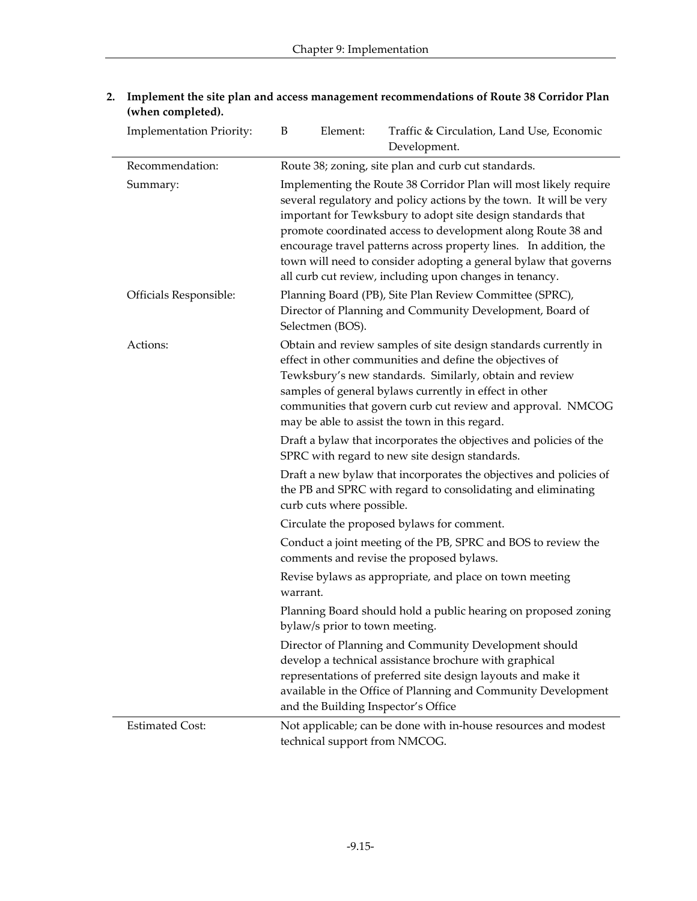| <b>Implementation Priority:</b> | B                                                                                                                                                                                                                                                                                                                                                                                                                                                                         | Element:                                                                                                                                | Traffic & Circulation, Land Use, Economic<br>Development.                                                                                                                                                                                                                               |  |  |
|---------------------------------|---------------------------------------------------------------------------------------------------------------------------------------------------------------------------------------------------------------------------------------------------------------------------------------------------------------------------------------------------------------------------------------------------------------------------------------------------------------------------|-----------------------------------------------------------------------------------------------------------------------------------------|-----------------------------------------------------------------------------------------------------------------------------------------------------------------------------------------------------------------------------------------------------------------------------------------|--|--|
| Recommendation:                 | Route 38; zoning, site plan and curb cut standards.                                                                                                                                                                                                                                                                                                                                                                                                                       |                                                                                                                                         |                                                                                                                                                                                                                                                                                         |  |  |
| Summary:                        | Implementing the Route 38 Corridor Plan will most likely require<br>several regulatory and policy actions by the town. It will be very<br>important for Tewksbury to adopt site design standards that<br>promote coordinated access to development along Route 38 and<br>encourage travel patterns across property lines. In addition, the<br>town will need to consider adopting a general bylaw that governs<br>all curb cut review, including upon changes in tenancy. |                                                                                                                                         |                                                                                                                                                                                                                                                                                         |  |  |
| Officials Responsible:          |                                                                                                                                                                                                                                                                                                                                                                                                                                                                           | Planning Board (PB), Site Plan Review Committee (SPRC),<br>Director of Planning and Community Development, Board of<br>Selectmen (BOS). |                                                                                                                                                                                                                                                                                         |  |  |
| Actions:                        | Obtain and review samples of site design standards currently in<br>effect in other communities and define the objectives of<br>Tewksbury's new standards. Similarly, obtain and review<br>samples of general bylaws currently in effect in other<br>communities that govern curb cut review and approval. NMCOG<br>may be able to assist the town in this regard.                                                                                                         |                                                                                                                                         |                                                                                                                                                                                                                                                                                         |  |  |
|                                 | Draft a bylaw that incorporates the objectives and policies of the<br>SPRC with regard to new site design standards.                                                                                                                                                                                                                                                                                                                                                      |                                                                                                                                         |                                                                                                                                                                                                                                                                                         |  |  |
|                                 |                                                                                                                                                                                                                                                                                                                                                                                                                                                                           | curb cuts where possible.                                                                                                               | Draft a new bylaw that incorporates the objectives and policies of<br>the PB and SPRC with regard to consolidating and eliminating                                                                                                                                                      |  |  |
|                                 |                                                                                                                                                                                                                                                                                                                                                                                                                                                                           |                                                                                                                                         | Circulate the proposed bylaws for comment.                                                                                                                                                                                                                                              |  |  |
|                                 | Conduct a joint meeting of the PB, SPRC and BOS to review the<br>comments and revise the proposed bylaws.                                                                                                                                                                                                                                                                                                                                                                 |                                                                                                                                         |                                                                                                                                                                                                                                                                                         |  |  |
|                                 | Revise bylaws as appropriate, and place on town meeting<br>warrant.                                                                                                                                                                                                                                                                                                                                                                                                       |                                                                                                                                         |                                                                                                                                                                                                                                                                                         |  |  |
|                                 | Planning Board should hold a public hearing on proposed zoning<br>bylaw/s prior to town meeting.                                                                                                                                                                                                                                                                                                                                                                          |                                                                                                                                         |                                                                                                                                                                                                                                                                                         |  |  |
|                                 |                                                                                                                                                                                                                                                                                                                                                                                                                                                                           |                                                                                                                                         | Director of Planning and Community Development should<br>develop a technical assistance brochure with graphical<br>representations of preferred site design layouts and make it<br>available in the Office of Planning and Community Development<br>and the Building Inspector's Office |  |  |
| <b>Estimated Cost:</b>          |                                                                                                                                                                                                                                                                                                                                                                                                                                                                           |                                                                                                                                         | Not applicable; can be done with in-house resources and modest<br>technical support from NMCOG.                                                                                                                                                                                         |  |  |

**2. Implement the site plan and access management recommendations of Route 38 Corridor Plan (when completed).**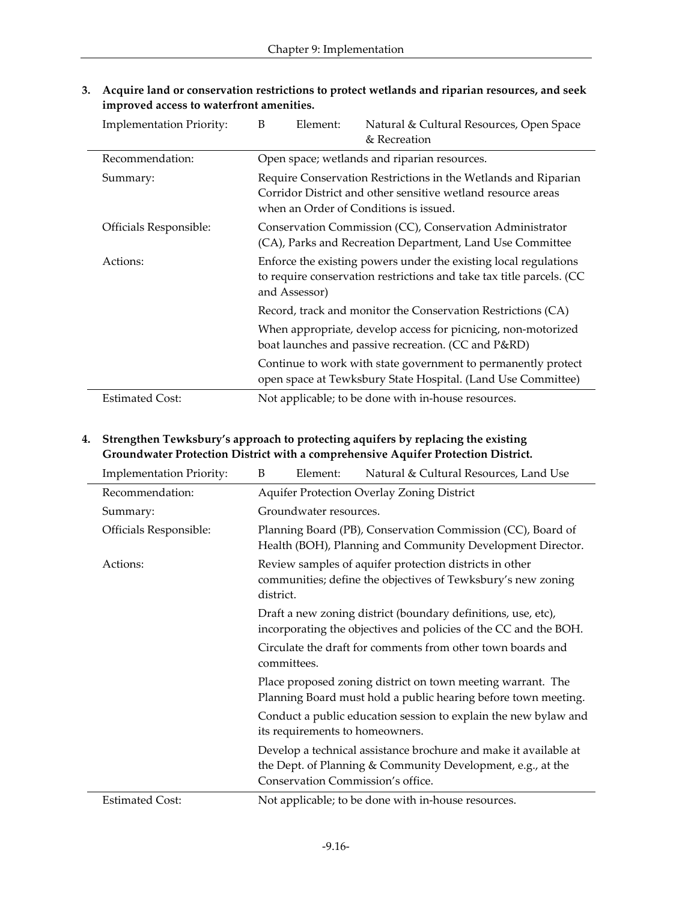| <b>Implementation Priority:</b> | B<br>Element:                                                                                                                                                            | Natural & Cultural Resources, Open Space<br>& Recreation                                                                      |  |  |  |
|---------------------------------|--------------------------------------------------------------------------------------------------------------------------------------------------------------------------|-------------------------------------------------------------------------------------------------------------------------------|--|--|--|
| Recommendation:                 |                                                                                                                                                                          | Open space; wetlands and riparian resources.                                                                                  |  |  |  |
| Summary:                        | Require Conservation Restrictions in the Wetlands and Riparian<br>Corridor District and other sensitive wetland resource areas<br>when an Order of Conditions is issued. |                                                                                                                               |  |  |  |
| Officials Responsible:          | Conservation Commission (CC), Conservation Administrator<br>(CA), Parks and Recreation Department, Land Use Committee                                                    |                                                                                                                               |  |  |  |
| Actions:                        | Enforce the existing powers under the existing local regulations<br>to require conservation restrictions and take tax title parcels. (CC<br>and Assessor)                |                                                                                                                               |  |  |  |
|                                 | Record, track and monitor the Conservation Restrictions (CA)                                                                                                             |                                                                                                                               |  |  |  |
|                                 | When appropriate, develop access for picnicing, non-motorized<br>boat launches and passive recreation. (CC and P&RD)                                                     |                                                                                                                               |  |  |  |
|                                 |                                                                                                                                                                          | Continue to work with state government to permanently protect<br>open space at Tewksbury State Hospital. (Land Use Committee) |  |  |  |
| <b>Estimated Cost:</b>          |                                                                                                                                                                          | Not applicable; to be done with in-house resources.                                                                           |  |  |  |

**3. Acquire land or conservation restrictions to protect wetlands and riparian resources, and seek improved access to waterfront amenities.**

## **4. Strengthen Tewksbury's approach to protecting aquifers by replacing the existing Groundwater Protection District with a comprehensive Aquifer Protection District.**

| <b>Implementation Priority:</b> | B                                                                                                                                 | Element:                                                                                                                                                                                                    | Natural & Cultural Resources, Land Use                                                                                                                               |  |  |
|---------------------------------|-----------------------------------------------------------------------------------------------------------------------------------|-------------------------------------------------------------------------------------------------------------------------------------------------------------------------------------------------------------|----------------------------------------------------------------------------------------------------------------------------------------------------------------------|--|--|
| Recommendation:                 |                                                                                                                                   | Aquifer Protection Overlay Zoning District                                                                                                                                                                  |                                                                                                                                                                      |  |  |
| Summary:                        |                                                                                                                                   | Groundwater resources.                                                                                                                                                                                      |                                                                                                                                                                      |  |  |
| Officials Responsible:          |                                                                                                                                   | Planning Board (PB), Conservation Commission (CC), Board of<br>Health (BOH), Planning and Community Development Director.                                                                                   |                                                                                                                                                                      |  |  |
| Actions:                        | district.                                                                                                                         | Review samples of aquifer protection districts in other<br>communities; define the objectives of Tewksbury's new zoning                                                                                     |                                                                                                                                                                      |  |  |
|                                 | Draft a new zoning district (boundary definitions, use, etc),<br>incorporating the objectives and policies of the CC and the BOH. |                                                                                                                                                                                                             |                                                                                                                                                                      |  |  |
|                                 |                                                                                                                                   | Circulate the draft for comments from other town boards and<br>committees.<br>Place proposed zoning district on town meeting warrant. The<br>Planning Board must hold a public hearing before town meeting. |                                                                                                                                                                      |  |  |
|                                 |                                                                                                                                   |                                                                                                                                                                                                             |                                                                                                                                                                      |  |  |
|                                 | Conduct a public education session to explain the new bylaw and<br>its requirements to homeowners.                                |                                                                                                                                                                                                             |                                                                                                                                                                      |  |  |
|                                 |                                                                                                                                   |                                                                                                                                                                                                             | Develop a technical assistance brochure and make it available at<br>the Dept. of Planning & Community Development, e.g., at the<br>Conservation Commission's office. |  |  |
| <b>Estimated Cost:</b>          |                                                                                                                                   |                                                                                                                                                                                                             | Not applicable; to be done with in-house resources.                                                                                                                  |  |  |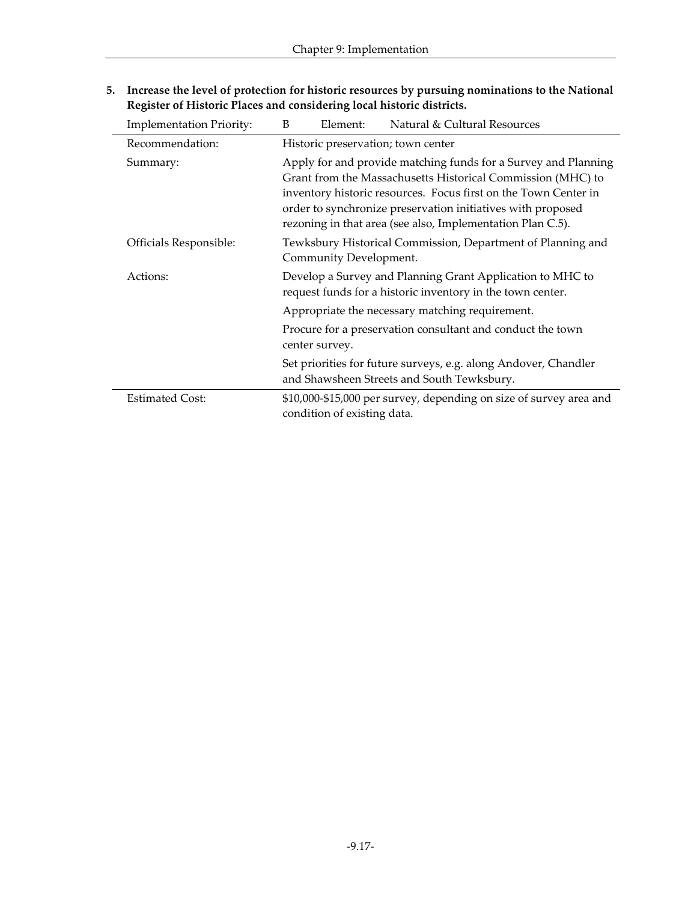| <b>Implementation Priority:</b> | B                                                                                                                       | Element:                                                                                                                                                                                                                                                                                                                      | Natural & Cultural Resources                                       |  |  |
|---------------------------------|-------------------------------------------------------------------------------------------------------------------------|-------------------------------------------------------------------------------------------------------------------------------------------------------------------------------------------------------------------------------------------------------------------------------------------------------------------------------|--------------------------------------------------------------------|--|--|
| Recommendation:                 |                                                                                                                         | Historic preservation; town center                                                                                                                                                                                                                                                                                            |                                                                    |  |  |
| Summary:                        |                                                                                                                         | Apply for and provide matching funds for a Survey and Planning<br>Grant from the Massachusetts Historical Commission (MHC) to<br>inventory historic resources. Focus first on the Town Center in<br>order to synchronize preservation initiatives with proposed<br>rezoning in that area (see also, Implementation Plan C.5). |                                                                    |  |  |
| Officials Responsible:          |                                                                                                                         | Tewksbury Historical Commission, Department of Planning and<br>Community Development.                                                                                                                                                                                                                                         |                                                                    |  |  |
| Actions:                        | Develop a Survey and Planning Grant Application to MHC to<br>request funds for a historic inventory in the town center. |                                                                                                                                                                                                                                                                                                                               |                                                                    |  |  |
|                                 |                                                                                                                         | Appropriate the necessary matching requirement.                                                                                                                                                                                                                                                                               |                                                                    |  |  |
|                                 | Procure for a preservation consultant and conduct the town<br>center survey.                                            |                                                                                                                                                                                                                                                                                                                               |                                                                    |  |  |
|                                 | Set priorities for future surveys, e.g. along Andover, Chandler<br>and Shawsheen Streets and South Tewksbury.           |                                                                                                                                                                                                                                                                                                                               |                                                                    |  |  |
| <b>Estimated Cost:</b>          |                                                                                                                         | condition of existing data.                                                                                                                                                                                                                                                                                                   | \$10,000-\$15,000 per survey, depending on size of survey area and |  |  |

**5. Increase the level of protect**i**on for historic resources by pursuing nominations to the National Register of Historic Places and considering local historic districts.**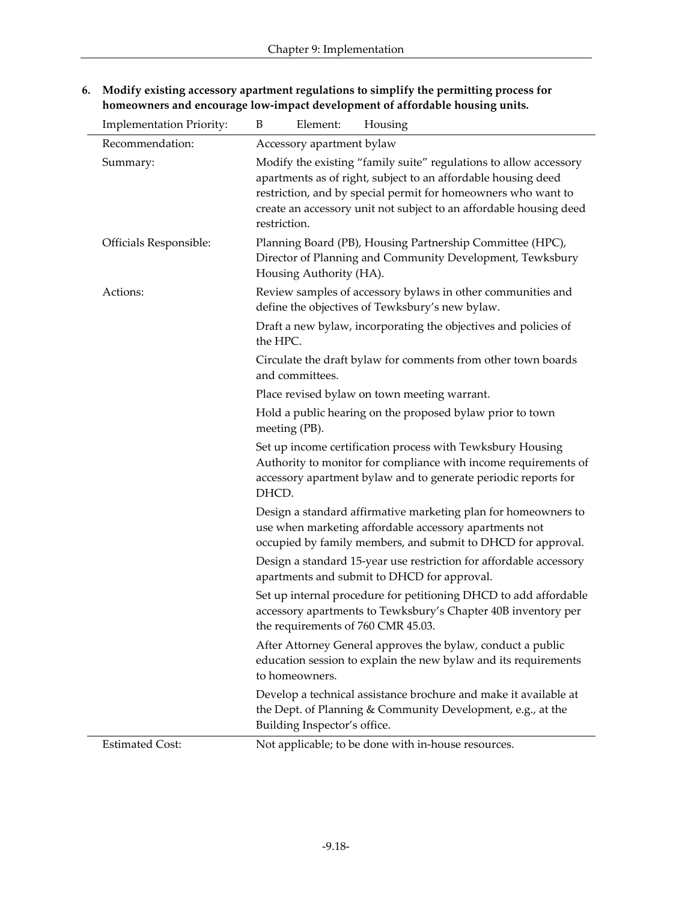| <b>Implementation Priority:</b> | Element:<br>Housing<br>B                                                                                                                                                                                                                                                                  |  |  |  |  |  |
|---------------------------------|-------------------------------------------------------------------------------------------------------------------------------------------------------------------------------------------------------------------------------------------------------------------------------------------|--|--|--|--|--|
| Recommendation:                 | Accessory apartment bylaw                                                                                                                                                                                                                                                                 |  |  |  |  |  |
| Summary:                        | Modify the existing "family suite" regulations to allow accessory<br>apartments as of right, subject to an affordable housing deed<br>restriction, and by special permit for homeowners who want to<br>create an accessory unit not subject to an affordable housing deed<br>restriction. |  |  |  |  |  |
| Officials Responsible:          | Planning Board (PB), Housing Partnership Committee (HPC),<br>Director of Planning and Community Development, Tewksbury<br>Housing Authority (HA).                                                                                                                                         |  |  |  |  |  |
| Actions:                        | Review samples of accessory bylaws in other communities and<br>define the objectives of Tewksbury's new bylaw.                                                                                                                                                                            |  |  |  |  |  |
|                                 | Draft a new bylaw, incorporating the objectives and policies of<br>the HPC.                                                                                                                                                                                                               |  |  |  |  |  |
|                                 | Circulate the draft bylaw for comments from other town boards<br>and committees.                                                                                                                                                                                                          |  |  |  |  |  |
|                                 | Place revised bylaw on town meeting warrant.                                                                                                                                                                                                                                              |  |  |  |  |  |
|                                 | Hold a public hearing on the proposed bylaw prior to town<br>meeting (PB).                                                                                                                                                                                                                |  |  |  |  |  |
|                                 | Set up income certification process with Tewksbury Housing<br>Authority to monitor for compliance with income requirements of<br>accessory apartment bylaw and to generate periodic reports for<br>DHCD.                                                                                  |  |  |  |  |  |
|                                 | Design a standard affirmative marketing plan for homeowners to<br>use when marketing affordable accessory apartments not<br>occupied by family members, and submit to DHCD for approval.                                                                                                  |  |  |  |  |  |
|                                 | Design a standard 15-year use restriction for affordable accessory<br>apartments and submit to DHCD for approval.                                                                                                                                                                         |  |  |  |  |  |
|                                 | Set up internal procedure for petitioning DHCD to add affordable<br>accessory apartments to Tewksbury's Chapter 40B inventory per<br>the requirements of 760 CMR 45.03.                                                                                                                   |  |  |  |  |  |
|                                 | After Attorney General approves the bylaw, conduct a public<br>education session to explain the new bylaw and its requirements<br>to homeowners.                                                                                                                                          |  |  |  |  |  |
|                                 | Develop a technical assistance brochure and make it available at<br>the Dept. of Planning & Community Development, e.g., at the<br>Building Inspector's office.                                                                                                                           |  |  |  |  |  |
| <b>Estimated Cost:</b>          | Not applicable; to be done with in-house resources.                                                                                                                                                                                                                                       |  |  |  |  |  |

**6. Modify existing accessory apartment regulations to simplify the permitting process for homeowners and encourage low-impact development of affordable housing units.**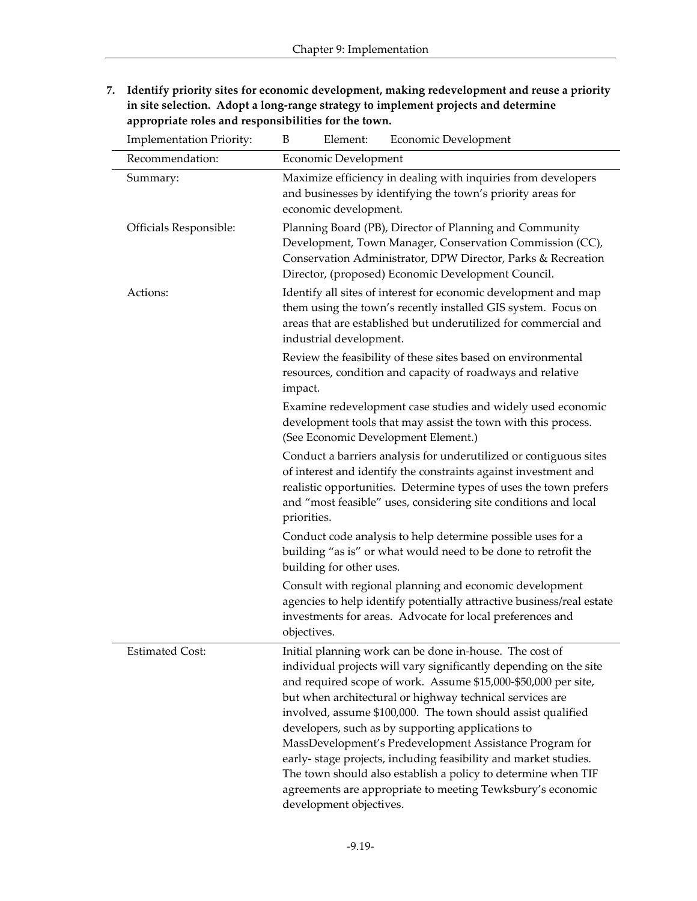**7. Identify priority sites for economic development, making redevelopment and reuse a priority in site selection. Adopt a long-range strategy to implement projects and determine appropriate roles and responsibilities for the town.**

| <b>Implementation Priority:</b> | Element:<br>Economic Development<br>B                                                                                                                                                                                                                                                                                                                                                                                                                                                                                                                                                                                                                                   |  |  |  |  |
|---------------------------------|-------------------------------------------------------------------------------------------------------------------------------------------------------------------------------------------------------------------------------------------------------------------------------------------------------------------------------------------------------------------------------------------------------------------------------------------------------------------------------------------------------------------------------------------------------------------------------------------------------------------------------------------------------------------------|--|--|--|--|
| Recommendation:                 | Economic Development                                                                                                                                                                                                                                                                                                                                                                                                                                                                                                                                                                                                                                                    |  |  |  |  |
| Summary:                        | Maximize efficiency in dealing with inquiries from developers<br>and businesses by identifying the town's priority areas for<br>economic development.                                                                                                                                                                                                                                                                                                                                                                                                                                                                                                                   |  |  |  |  |
| Officials Responsible:          | Planning Board (PB), Director of Planning and Community<br>Development, Town Manager, Conservation Commission (CC),<br>Conservation Administrator, DPW Director, Parks & Recreation<br>Director, (proposed) Economic Development Council.                                                                                                                                                                                                                                                                                                                                                                                                                               |  |  |  |  |
| Actions:                        | Identify all sites of interest for economic development and map<br>them using the town's recently installed GIS system. Focus on<br>areas that are established but underutilized for commercial and<br>industrial development.                                                                                                                                                                                                                                                                                                                                                                                                                                          |  |  |  |  |
|                                 | Review the feasibility of these sites based on environmental<br>resources, condition and capacity of roadways and relative<br>impact.                                                                                                                                                                                                                                                                                                                                                                                                                                                                                                                                   |  |  |  |  |
|                                 | Examine redevelopment case studies and widely used economic<br>development tools that may assist the town with this process.<br>(See Economic Development Element.)                                                                                                                                                                                                                                                                                                                                                                                                                                                                                                     |  |  |  |  |
|                                 | Conduct a barriers analysis for underutilized or contiguous sites<br>of interest and identify the constraints against investment and<br>realistic opportunities. Determine types of uses the town prefers<br>and "most feasible" uses, considering site conditions and local<br>priorities.                                                                                                                                                                                                                                                                                                                                                                             |  |  |  |  |
|                                 | Conduct code analysis to help determine possible uses for a<br>building "as is" or what would need to be done to retrofit the<br>building for other uses.                                                                                                                                                                                                                                                                                                                                                                                                                                                                                                               |  |  |  |  |
|                                 | Consult with regional planning and economic development<br>agencies to help identify potentially attractive business/real estate<br>investments for areas. Advocate for local preferences and<br>objectives.                                                                                                                                                                                                                                                                                                                                                                                                                                                            |  |  |  |  |
| <b>Estimated Cost:</b>          | Initial planning work can be done in-house. The cost of<br>individual projects will vary significantly depending on the site<br>and required scope of work. Assume \$15,000-\$50,000 per site,<br>but when architectural or highway technical services are<br>involved, assume \$100,000. The town should assist qualified<br>developers, such as by supporting applications to<br>MassDevelopment's Predevelopment Assistance Program for<br>early-stage projects, including feasibility and market studies.<br>The town should also establish a policy to determine when TIF<br>agreements are appropriate to meeting Tewksbury's economic<br>development objectives. |  |  |  |  |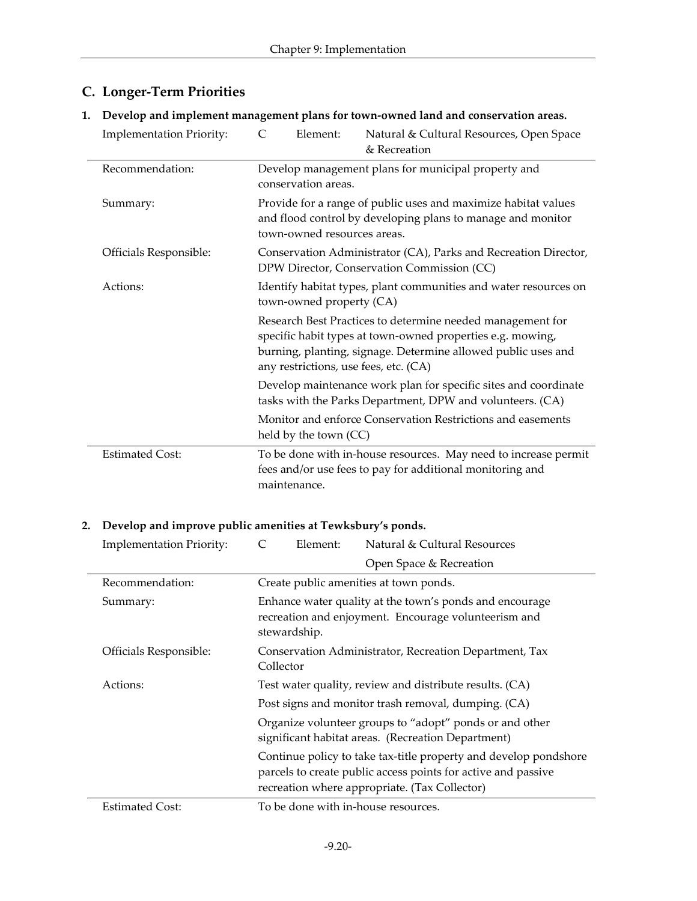| <b>Implementation Priority:</b> | $\subset$<br>Element:                                                                                                                                        | Natural & Cultural Resources, Open Space<br>& Recreation                                                                                                                                  |  |  |
|---------------------------------|--------------------------------------------------------------------------------------------------------------------------------------------------------------|-------------------------------------------------------------------------------------------------------------------------------------------------------------------------------------------|--|--|
| Recommendation:                 | Develop management plans for municipal property and<br>conservation areas.                                                                                   |                                                                                                                                                                                           |  |  |
| Summary:                        | Provide for a range of public uses and maximize habitat values<br>and flood control by developing plans to manage and monitor<br>town-owned resources areas. |                                                                                                                                                                                           |  |  |
| Officials Responsible:          |                                                                                                                                                              | Conservation Administrator (CA), Parks and Recreation Director,<br>DPW Director, Conservation Commission (CC)                                                                             |  |  |
| Actions:                        | Identify habitat types, plant communities and water resources on<br>town-owned property (CA)                                                                 |                                                                                                                                                                                           |  |  |
|                                 | any restrictions, use fees, etc. (CA)                                                                                                                        | Research Best Practices to determine needed management for<br>specific habit types at town-owned properties e.g. mowing,<br>burning, planting, signage. Determine allowed public uses and |  |  |
|                                 |                                                                                                                                                              | Develop maintenance work plan for specific sites and coordinate<br>tasks with the Parks Department, DPW and volunteers. (CA)                                                              |  |  |
|                                 | Monitor and enforce Conservation Restrictions and easements<br>held by the town (CC)                                                                         |                                                                                                                                                                                           |  |  |
| <b>Estimated Cost:</b>          | maintenance.                                                                                                                                                 | To be done with in-house resources. May need to increase permit<br>fees and/or use fees to pay for additional monitoring and                                                              |  |  |

## **C. Longer-Term Priorities**

#### **1. Develop and implement management plans for town-owned land and conservation areas.**

#### **2. Develop and improve public amenities at Tewksbury's ponds.**

| <b>Implementation Priority:</b> | Element:     | Natural & Cultural Resources                                                                                                                                                       |
|---------------------------------|--------------|------------------------------------------------------------------------------------------------------------------------------------------------------------------------------------|
|                                 |              | Open Space & Recreation                                                                                                                                                            |
| Recommendation:                 |              | Create public amenities at town ponds.                                                                                                                                             |
| Summary:                        | stewardship. | Enhance water quality at the town's ponds and encourage<br>recreation and enjoyment. Encourage volunteerism and                                                                    |
| Officials Responsible:          | Collector    | Conservation Administrator, Recreation Department, Tax                                                                                                                             |
| Actions:                        |              | Test water quality, review and distribute results. (CA)                                                                                                                            |
|                                 |              | Post signs and monitor trash removal, dumping. (CA)                                                                                                                                |
|                                 |              | Organize volunteer groups to "adopt" ponds or and other<br>significant habitat areas. (Recreation Department)                                                                      |
|                                 |              | Continue policy to take tax-title property and develop pondshore<br>parcels to create public access points for active and passive<br>recreation where appropriate. (Tax Collector) |
| <b>Estimated Cost:</b>          |              | To be done with in-house resources.                                                                                                                                                |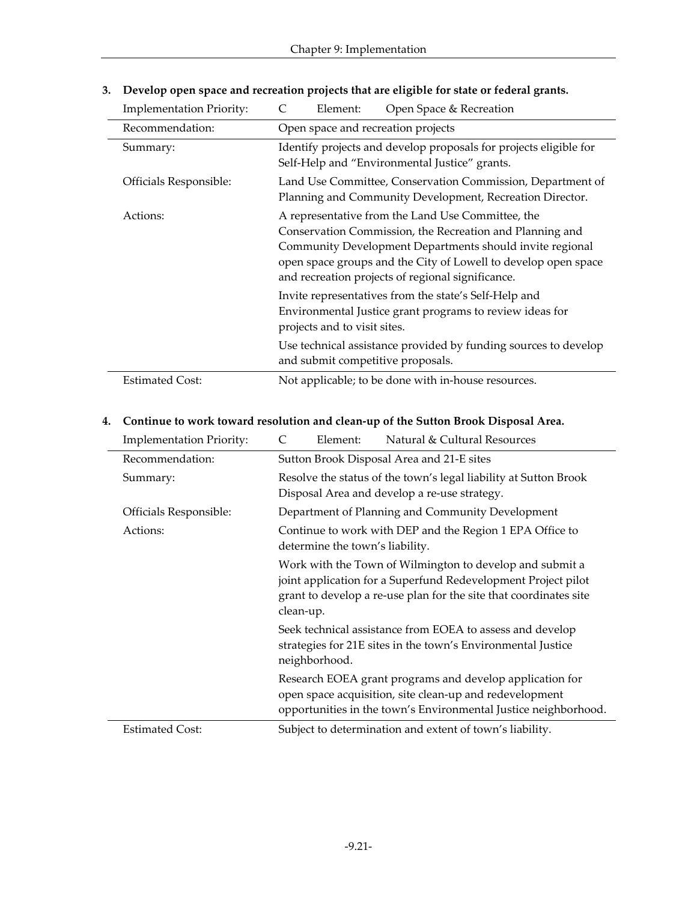| <b>Implementation Priority:</b> | Open Space & Recreation<br>Element:                                                                                                                                                                                                                                                              |  |
|---------------------------------|--------------------------------------------------------------------------------------------------------------------------------------------------------------------------------------------------------------------------------------------------------------------------------------------------|--|
| Recommendation:                 | Open space and recreation projects                                                                                                                                                                                                                                                               |  |
| Summary:                        | Identify projects and develop proposals for projects eligible for<br>Self-Help and "Environmental Justice" grants.                                                                                                                                                                               |  |
| Officials Responsible:          | Land Use Committee, Conservation Commission, Department of<br>Planning and Community Development, Recreation Director.                                                                                                                                                                           |  |
| Actions:                        | A representative from the Land Use Committee, the<br>Conservation Commission, the Recreation and Planning and<br>Community Development Departments should invite regional<br>open space groups and the City of Lowell to develop open space<br>and recreation projects of regional significance. |  |
|                                 | Invite representatives from the state's Self-Help and<br>Environmental Justice grant programs to review ideas for<br>projects and to visit sites.                                                                                                                                                |  |
|                                 | Use technical assistance provided by funding sources to develop<br>and submit competitive proposals.                                                                                                                                                                                             |  |
| <b>Estimated Cost:</b>          | Not applicable; to be done with in-house resources.                                                                                                                                                                                                                                              |  |

**3. Develop open space and recreation projects that are eligible for state or federal grants.**

#### **4. Continue to work toward resolution and clean-up of the Sutton Brook Disposal Area.**

 $\overline{\phantom{a}}$ 

 $\overline{a}$ 

| <b>Implementation Priority:</b> | C<br>Element:                   | Natural & Cultural Resources                                                                                                                                                                   |
|---------------------------------|---------------------------------|------------------------------------------------------------------------------------------------------------------------------------------------------------------------------------------------|
| Recommendation:                 |                                 | Sutton Brook Disposal Area and 21-E sites                                                                                                                                                      |
| Summary:                        |                                 | Resolve the status of the town's legal liability at Sutton Brook<br>Disposal Area and develop a re-use strategy.                                                                               |
| Officials Responsible:          |                                 | Department of Planning and Community Development                                                                                                                                               |
| Actions:                        | determine the town's liability. | Continue to work with DEP and the Region 1 EPA Office to                                                                                                                                       |
|                                 | clean-up.                       | Work with the Town of Wilmington to develop and submit a<br>joint application for a Superfund Redevelopment Project pilot<br>grant to develop a re-use plan for the site that coordinates site |
|                                 | neighborhood.                   | Seek technical assistance from EOEA to assess and develop<br>strategies for 21E sites in the town's Environmental Justice                                                                      |
|                                 |                                 | Research EOEA grant programs and develop application for<br>open space acquisition, site clean-up and redevelopment<br>opportunities in the town's Environmental Justice neighborhood.         |
| <b>Estimated Cost:</b>          |                                 | Subject to determination and extent of town's liability.                                                                                                                                       |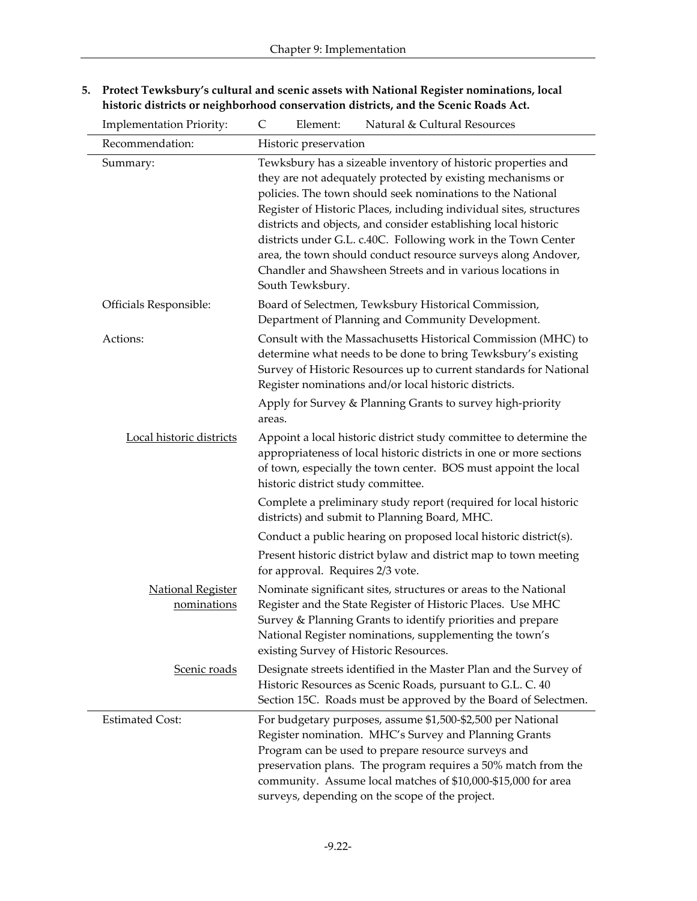| <b>Implementation Priority:</b>         | C<br>Natural & Cultural Resources<br>Element:                                                                                                                                                                                                                                                                                                                                                                                                                                                                                                            |
|-----------------------------------------|----------------------------------------------------------------------------------------------------------------------------------------------------------------------------------------------------------------------------------------------------------------------------------------------------------------------------------------------------------------------------------------------------------------------------------------------------------------------------------------------------------------------------------------------------------|
| Recommendation:                         | Historic preservation                                                                                                                                                                                                                                                                                                                                                                                                                                                                                                                                    |
| Summary:                                | Tewksbury has a sizeable inventory of historic properties and<br>they are not adequately protected by existing mechanisms or<br>policies. The town should seek nominations to the National<br>Register of Historic Places, including individual sites, structures<br>districts and objects, and consider establishing local historic<br>districts under G.L. c.40C. Following work in the Town Center<br>area, the town should conduct resource surveys along Andover,<br>Chandler and Shawsheen Streets and in various locations in<br>South Tewksbury. |
| Officials Responsible:                  | Board of Selectmen, Tewksbury Historical Commission,<br>Department of Planning and Community Development.                                                                                                                                                                                                                                                                                                                                                                                                                                                |
| Actions:                                | Consult with the Massachusetts Historical Commission (MHC) to<br>determine what needs to be done to bring Tewksbury's existing<br>Survey of Historic Resources up to current standards for National<br>Register nominations and/or local historic districts.                                                                                                                                                                                                                                                                                             |
|                                         | Apply for Survey & Planning Grants to survey high-priority<br>areas.                                                                                                                                                                                                                                                                                                                                                                                                                                                                                     |
| Local historic districts                | Appoint a local historic district study committee to determine the<br>appropriateness of local historic districts in one or more sections<br>of town, especially the town center. BOS must appoint the local<br>historic district study committee.                                                                                                                                                                                                                                                                                                       |
|                                         | Complete a preliminary study report (required for local historic<br>districts) and submit to Planning Board, MHC.                                                                                                                                                                                                                                                                                                                                                                                                                                        |
|                                         | Conduct a public hearing on proposed local historic district(s).                                                                                                                                                                                                                                                                                                                                                                                                                                                                                         |
|                                         | Present historic district bylaw and district map to town meeting<br>for approval. Requires 2/3 vote.                                                                                                                                                                                                                                                                                                                                                                                                                                                     |
| <b>National Register</b><br>nominations | Nominate significant sites, structures or areas to the National<br>Register and the State Register of Historic Places. Use MHC<br>Survey & Planning Grants to identify priorities and prepare<br>National Register nominations, supplementing the town's<br>existing Survey of Historic Resources.                                                                                                                                                                                                                                                       |
| Scenic roads                            | Designate streets identified in the Master Plan and the Survey of<br>Historic Resources as Scenic Roads, pursuant to G.L. C. 40<br>Section 15C. Roads must be approved by the Board of Selectmen.                                                                                                                                                                                                                                                                                                                                                        |
| <b>Estimated Cost:</b>                  | For budgetary purposes, assume \$1,500-\$2,500 per National<br>Register nomination. MHC's Survey and Planning Grants<br>Program can be used to prepare resource surveys and<br>preservation plans. The program requires a 50% match from the<br>community. Assume local matches of \$10,000-\$15,000 for area<br>surveys, depending on the scope of the project.                                                                                                                                                                                         |

**5. Protect Tewksbury's cultural and scenic assets with National Register nominations, local historic districts or neighborhood conservation districts, and the Scenic Roads Act.**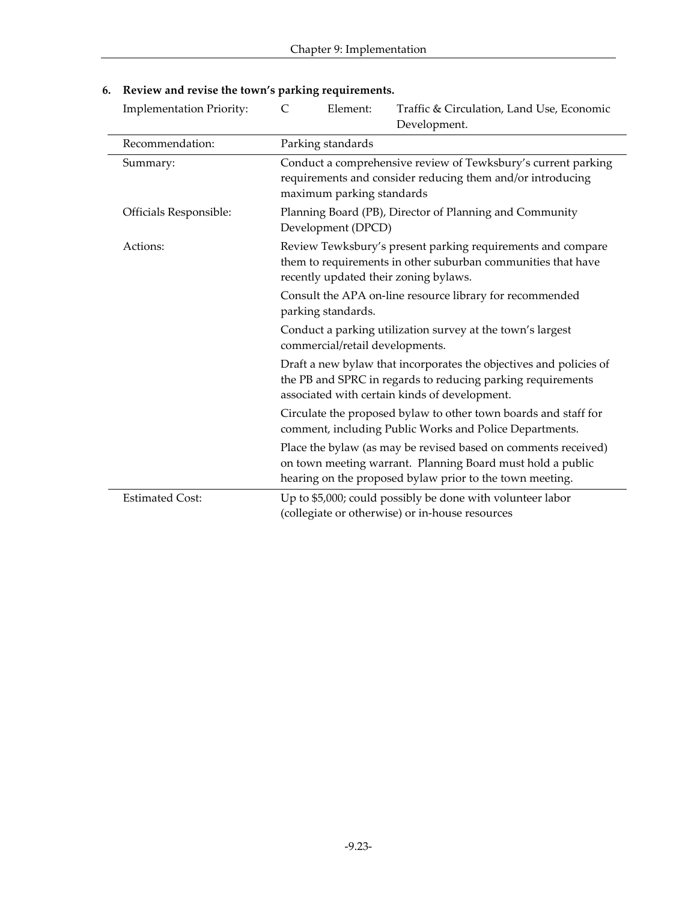| <b>Implementation Priority:</b> | $\mathcal{C}$<br>Traffic & Circulation, Land Use, Economic<br>Element:<br>Development.                                                                                                   |
|---------------------------------|------------------------------------------------------------------------------------------------------------------------------------------------------------------------------------------|
| Recommendation:                 | Parking standards                                                                                                                                                                        |
| Summary:                        | Conduct a comprehensive review of Tewksbury's current parking<br>requirements and consider reducing them and/or introducing<br>maximum parking standards                                 |
| Officials Responsible:          | Planning Board (PB), Director of Planning and Community<br>Development (DPCD)                                                                                                            |
| Actions:                        | Review Tewksbury's present parking requirements and compare<br>them to requirements in other suburban communities that have<br>recently updated their zoning bylaws.                     |
|                                 | Consult the APA on-line resource library for recommended<br>parking standards.                                                                                                           |
|                                 | Conduct a parking utilization survey at the town's largest<br>commercial/retail developments.                                                                                            |
|                                 | Draft a new bylaw that incorporates the objectives and policies of<br>the PB and SPRC in regards to reducing parking requirements<br>associated with certain kinds of development.       |
|                                 | Circulate the proposed bylaw to other town boards and staff for<br>comment, including Public Works and Police Departments.                                                               |
|                                 | Place the bylaw (as may be revised based on comments received)<br>on town meeting warrant. Planning Board must hold a public<br>hearing on the proposed bylaw prior to the town meeting. |
| <b>Estimated Cost:</b>          | Up to \$5,000; could possibly be done with volunteer labor<br>(collegiate or otherwise) or in-house resources                                                                            |

## **6. Review and revise the town's parking requirements.**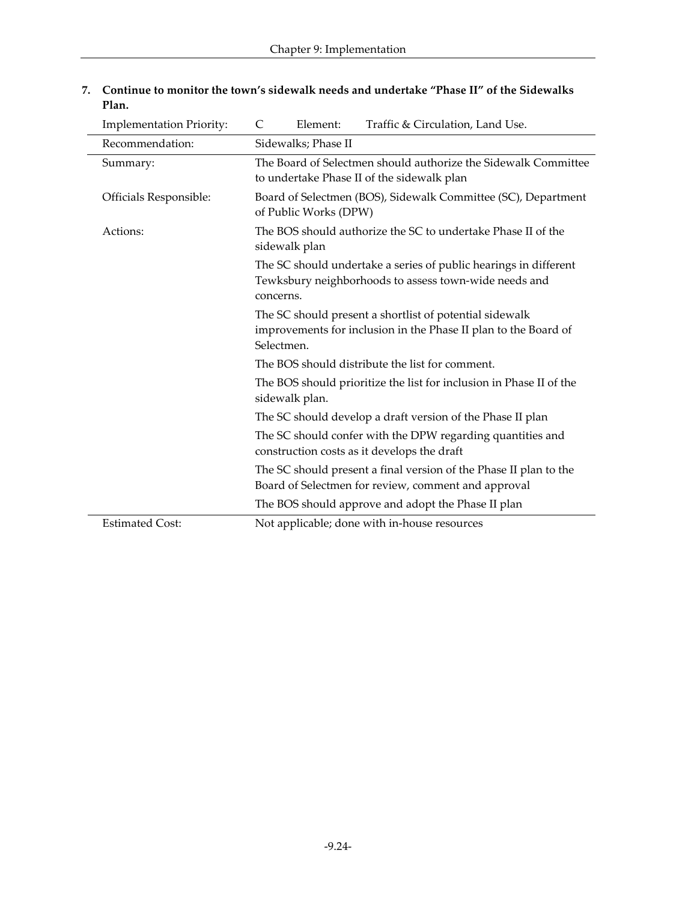| <b>Implementation Priority:</b> | Traffic & Circulation, Land Use.<br>$\mathsf{C}$<br>Element:                                                                             |
|---------------------------------|------------------------------------------------------------------------------------------------------------------------------------------|
| Recommendation:                 | Sidewalks; Phase II                                                                                                                      |
| Summary:                        | The Board of Selectmen should authorize the Sidewalk Committee<br>to undertake Phase II of the sidewalk plan                             |
| Officials Responsible:          | Board of Selectmen (BOS), Sidewalk Committee (SC), Department<br>of Public Works (DPW)                                                   |
| Actions:                        | The BOS should authorize the SC to undertake Phase II of the<br>sidewalk plan                                                            |
|                                 | The SC should undertake a series of public hearings in different<br>Tewksbury neighborhoods to assess town-wide needs and<br>concerns.   |
|                                 | The SC should present a shortlist of potential sidewalk<br>improvements for inclusion in the Phase II plan to the Board of<br>Selectmen. |
|                                 | The BOS should distribute the list for comment.                                                                                          |
|                                 | The BOS should prioritize the list for inclusion in Phase II of the<br>sidewalk plan.                                                    |
|                                 | The SC should develop a draft version of the Phase II plan                                                                               |
|                                 | The SC should confer with the DPW regarding quantities and<br>construction costs as it develops the draft                                |
|                                 | The SC should present a final version of the Phase II plan to the<br>Board of Selectmen for review, comment and approval                 |
|                                 | The BOS should approve and adopt the Phase II plan                                                                                       |
| <b>Estimated Cost:</b>          | Not applicable; done with in-house resources                                                                                             |
|                                 |                                                                                                                                          |

#### **7. Continue to monitor the town's sidewalk needs and undertake "Phase II" of the Sidewalks Plan.**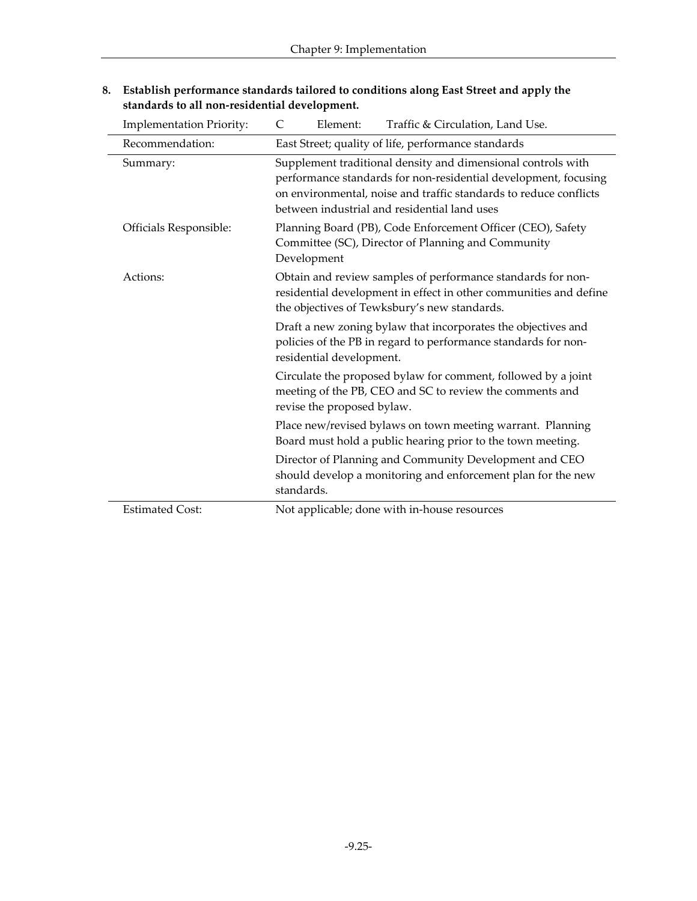| <b>Implementation Priority:</b> | Traffic & Circulation, Land Use.<br>C<br>Element:                                                                                                                                                                                                    |
|---------------------------------|------------------------------------------------------------------------------------------------------------------------------------------------------------------------------------------------------------------------------------------------------|
| Recommendation:                 | East Street; quality of life, performance standards                                                                                                                                                                                                  |
| Summary:                        | Supplement traditional density and dimensional controls with<br>performance standards for non-residential development, focusing<br>on environmental, noise and traffic standards to reduce conflicts<br>between industrial and residential land uses |
| Officials Responsible:          | Planning Board (PB), Code Enforcement Officer (CEO), Safety<br>Committee (SC), Director of Planning and Community<br>Development                                                                                                                     |
| Actions:                        | Obtain and review samples of performance standards for non-<br>residential development in effect in other communities and define<br>the objectives of Tewksbury's new standards.                                                                     |
|                                 | Draft a new zoning bylaw that incorporates the objectives and<br>policies of the PB in regard to performance standards for non-<br>residential development.                                                                                          |
|                                 | Circulate the proposed bylaw for comment, followed by a joint<br>meeting of the PB, CEO and SC to review the comments and<br>revise the proposed bylaw.                                                                                              |
|                                 | Place new/revised bylaws on town meeting warrant. Planning<br>Board must hold a public hearing prior to the town meeting.                                                                                                                            |
|                                 | Director of Planning and Community Development and CEO<br>should develop a monitoring and enforcement plan for the new<br>standards.                                                                                                                 |
| <b>Estimated Cost:</b>          | Not applicable; done with in-house resources                                                                                                                                                                                                         |

**8. Establish performance standards tailored to conditions along East Street and apply the standards to all non-residential development.**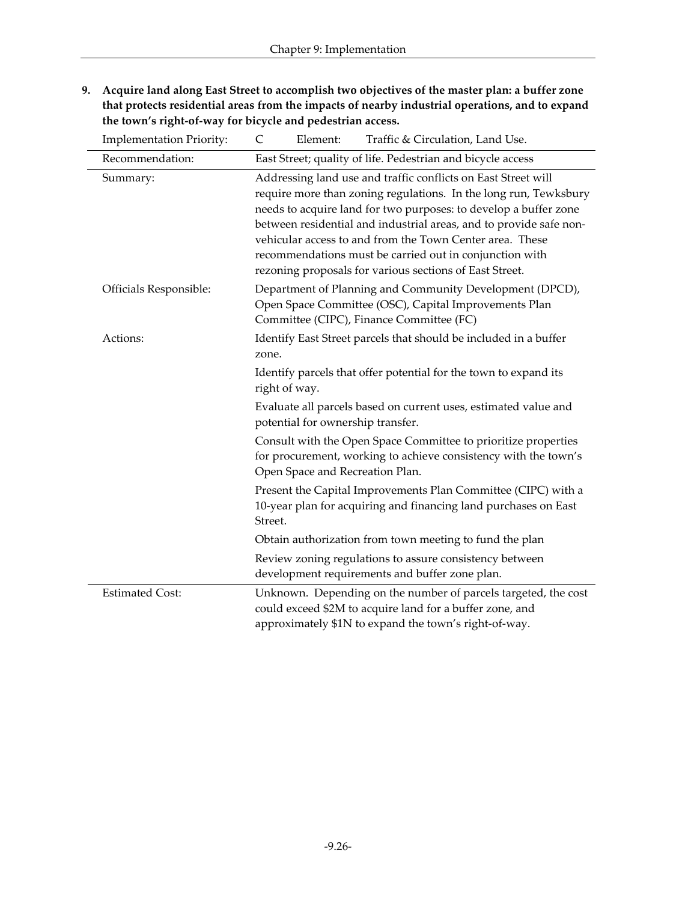**9. Acquire land along East Street to accomplish two objectives of the master plan: a buffer zone that protects residential areas from the impacts of nearby industrial operations, and to expand the town's right-of-way for bicycle and pedestrian access.**

| <b>Implementation Priority:</b> | Traffic & Circulation, Land Use.<br>C<br>Element:                                                                                                                                                                                                                                                                                                                                                                                                             |
|---------------------------------|---------------------------------------------------------------------------------------------------------------------------------------------------------------------------------------------------------------------------------------------------------------------------------------------------------------------------------------------------------------------------------------------------------------------------------------------------------------|
| Recommendation:                 | East Street; quality of life. Pedestrian and bicycle access                                                                                                                                                                                                                                                                                                                                                                                                   |
| Summary:                        | Addressing land use and traffic conflicts on East Street will<br>require more than zoning regulations. In the long run, Tewksbury<br>needs to acquire land for two purposes: to develop a buffer zone<br>between residential and industrial areas, and to provide safe non-<br>vehicular access to and from the Town Center area. These<br>recommendations must be carried out in conjunction with<br>rezoning proposals for various sections of East Street. |
| Officials Responsible:          | Department of Planning and Community Development (DPCD),<br>Open Space Committee (OSC), Capital Improvements Plan<br>Committee (CIPC), Finance Committee (FC)                                                                                                                                                                                                                                                                                                 |
| Actions:                        | Identify East Street parcels that should be included in a buffer<br>zone.                                                                                                                                                                                                                                                                                                                                                                                     |
|                                 | Identify parcels that offer potential for the town to expand its<br>right of way.                                                                                                                                                                                                                                                                                                                                                                             |
|                                 | Evaluate all parcels based on current uses, estimated value and<br>potential for ownership transfer.                                                                                                                                                                                                                                                                                                                                                          |
|                                 | Consult with the Open Space Committee to prioritize properties<br>for procurement, working to achieve consistency with the town's<br>Open Space and Recreation Plan.                                                                                                                                                                                                                                                                                          |
|                                 | Present the Capital Improvements Plan Committee (CIPC) with a<br>10-year plan for acquiring and financing land purchases on East<br>Street.                                                                                                                                                                                                                                                                                                                   |
|                                 | Obtain authorization from town meeting to fund the plan                                                                                                                                                                                                                                                                                                                                                                                                       |
|                                 | Review zoning regulations to assure consistency between<br>development requirements and buffer zone plan.                                                                                                                                                                                                                                                                                                                                                     |
| <b>Estimated Cost:</b>          | Unknown. Depending on the number of parcels targeted, the cost<br>could exceed \$2M to acquire land for a buffer zone, and<br>approximately \$1N to expand the town's right-of-way.                                                                                                                                                                                                                                                                           |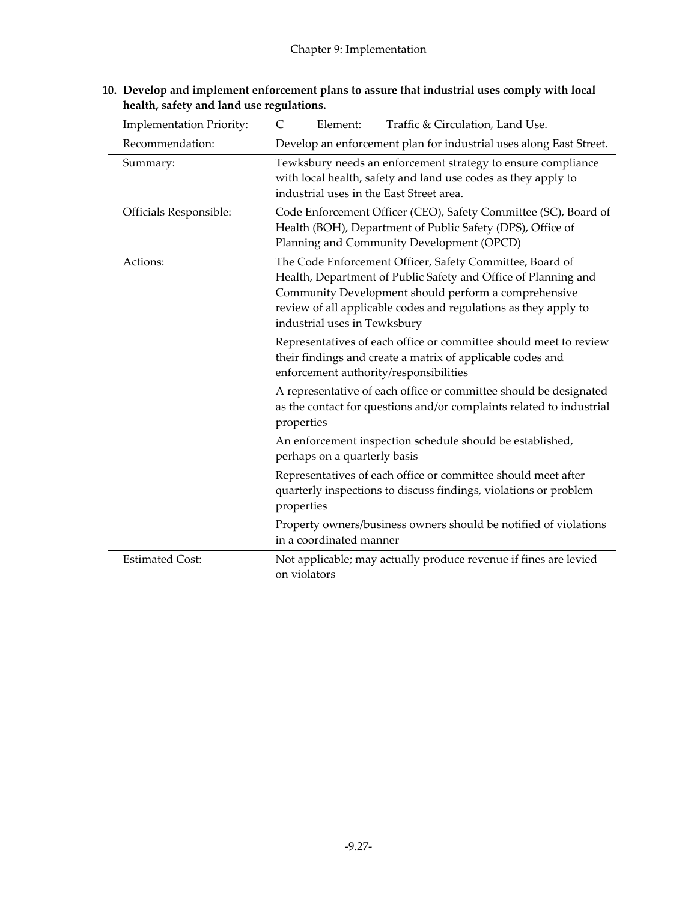| <b>Implementation Priority:</b> | Traffic & Circulation, Land Use.<br>Element:<br>C                                                                                                                                                                                                                                     |
|---------------------------------|---------------------------------------------------------------------------------------------------------------------------------------------------------------------------------------------------------------------------------------------------------------------------------------|
| Recommendation:                 | Develop an enforcement plan for industrial uses along East Street.                                                                                                                                                                                                                    |
| Summary:                        | Tewksbury needs an enforcement strategy to ensure compliance<br>with local health, safety and land use codes as they apply to<br>industrial uses in the East Street area.                                                                                                             |
| Officials Responsible:          | Code Enforcement Officer (CEO), Safety Committee (SC), Board of<br>Health (BOH), Department of Public Safety (DPS), Office of<br>Planning and Community Development (OPCD)                                                                                                            |
| Actions:                        | The Code Enforcement Officer, Safety Committee, Board of<br>Health, Department of Public Safety and Office of Planning and<br>Community Development should perform a comprehensive<br>review of all applicable codes and regulations as they apply to<br>industrial uses in Tewksbury |
|                                 | Representatives of each office or committee should meet to review<br>their findings and create a matrix of applicable codes and<br>enforcement authority/responsibilities                                                                                                             |
|                                 | A representative of each office or committee should be designated<br>as the contact for questions and/or complaints related to industrial<br>properties                                                                                                                               |
|                                 | An enforcement inspection schedule should be established,<br>perhaps on a quarterly basis                                                                                                                                                                                             |
|                                 | Representatives of each office or committee should meet after<br>quarterly inspections to discuss findings, violations or problem<br>properties                                                                                                                                       |
|                                 | Property owners/business owners should be notified of violations<br>in a coordinated manner                                                                                                                                                                                           |
| <b>Estimated Cost:</b>          | Not applicable; may actually produce revenue if fines are levied<br>on violators                                                                                                                                                                                                      |

#### **10. Develop and implement enforcement plans to assure that industrial uses comply with local health, safety and land use regulations.**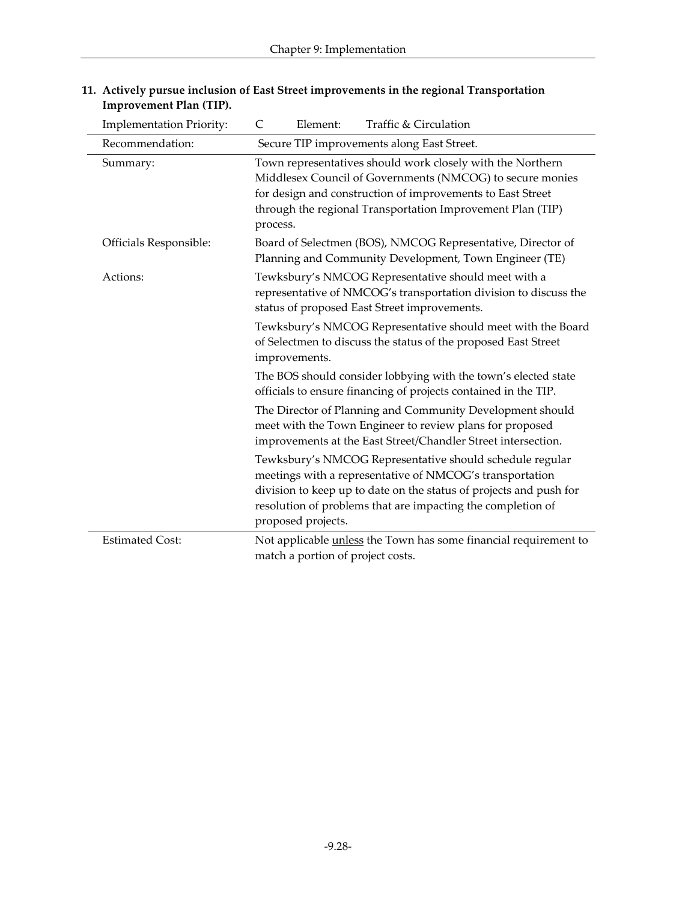| <b>Implementation Priority:</b> | Traffic & Circulation<br>$\mathsf{C}$<br>Element:                                                                                                                                                                                                                               |
|---------------------------------|---------------------------------------------------------------------------------------------------------------------------------------------------------------------------------------------------------------------------------------------------------------------------------|
| Recommendation:                 | Secure TIP improvements along East Street.                                                                                                                                                                                                                                      |
| Summary:                        | Town representatives should work closely with the Northern<br>Middlesex Council of Governments (NMCOG) to secure monies<br>for design and construction of improvements to East Street<br>through the regional Transportation Improvement Plan (TIP)<br>process.                 |
| Officials Responsible:          | Board of Selectmen (BOS), NMCOG Representative, Director of<br>Planning and Community Development, Town Engineer (TE)                                                                                                                                                           |
| Actions:                        | Tewksbury's NMCOG Representative should meet with a<br>representative of NMCOG's transportation division to discuss the<br>status of proposed East Street improvements.                                                                                                         |
|                                 | Tewksbury's NMCOG Representative should meet with the Board<br>of Selectmen to discuss the status of the proposed East Street<br>improvements.                                                                                                                                  |
|                                 | The BOS should consider lobbying with the town's elected state<br>officials to ensure financing of projects contained in the TIP.                                                                                                                                               |
|                                 | The Director of Planning and Community Development should<br>meet with the Town Engineer to review plans for proposed<br>improvements at the East Street/Chandler Street intersection.                                                                                          |
|                                 | Tewksbury's NMCOG Representative should schedule regular<br>meetings with a representative of NMCOG's transportation<br>division to keep up to date on the status of projects and push for<br>resolution of problems that are impacting the completion of<br>proposed projects. |
| <b>Estimated Cost:</b>          | Not applicable <i>unless</i> the Town has some financial requirement to<br>match a portion of project costs.                                                                                                                                                                    |

#### **11. Actively pursue inclusion of East Street improvements in the regional Transportation Improvement Plan (TIP).**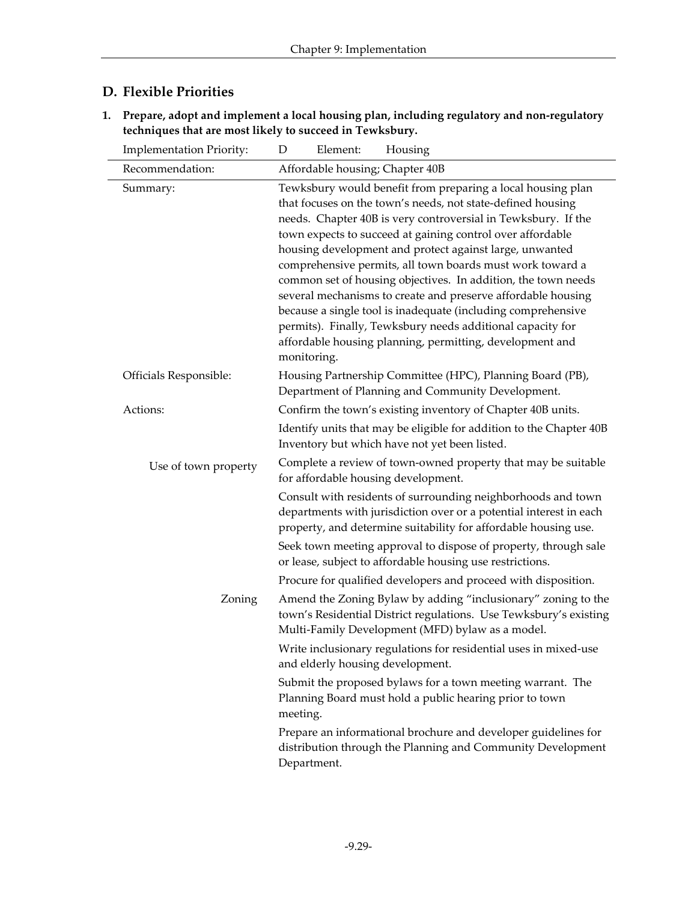## **D. Flexible Priorities**

**1. Prepare, adopt and implement a local housing plan, including regulatory and non-regulatory techniques that are most likely to succeed in Tewksbury.**

| <b>Implementation Priority:</b> | Element:<br>Housing<br>D                                                                                                                                                                                                                                                                                                                                                                                                                                                                                                                                                                                                                                                                                                    |
|---------------------------------|-----------------------------------------------------------------------------------------------------------------------------------------------------------------------------------------------------------------------------------------------------------------------------------------------------------------------------------------------------------------------------------------------------------------------------------------------------------------------------------------------------------------------------------------------------------------------------------------------------------------------------------------------------------------------------------------------------------------------------|
| Recommendation:                 | Affordable housing; Chapter 40B                                                                                                                                                                                                                                                                                                                                                                                                                                                                                                                                                                                                                                                                                             |
| Summary:                        | Tewksbury would benefit from preparing a local housing plan<br>that focuses on the town's needs, not state-defined housing<br>needs. Chapter 40B is very controversial in Tewksbury. If the<br>town expects to succeed at gaining control over affordable<br>housing development and protect against large, unwanted<br>comprehensive permits, all town boards must work toward a<br>common set of housing objectives. In addition, the town needs<br>several mechanisms to create and preserve affordable housing<br>because a single tool is inadequate (including comprehensive<br>permits). Finally, Tewksbury needs additional capacity for<br>affordable housing planning, permitting, development and<br>monitoring. |
| Officials Responsible:          | Housing Partnership Committee (HPC), Planning Board (PB),<br>Department of Planning and Community Development.                                                                                                                                                                                                                                                                                                                                                                                                                                                                                                                                                                                                              |
| Actions:                        | Confirm the town's existing inventory of Chapter 40B units.<br>Identify units that may be eligible for addition to the Chapter 40B<br>Inventory but which have not yet been listed.                                                                                                                                                                                                                                                                                                                                                                                                                                                                                                                                         |
| Use of town property            | Complete a review of town-owned property that may be suitable<br>for affordable housing development.<br>Consult with residents of surrounding neighborhoods and town<br>departments with jurisdiction over or a potential interest in each<br>property, and determine suitability for affordable housing use.<br>Seek town meeting approval to dispose of property, through sale<br>or lease, subject to affordable housing use restrictions.                                                                                                                                                                                                                                                                               |
| Zoning                          | Procure for qualified developers and proceed with disposition.<br>Amend the Zoning Bylaw by adding "inclusionary" zoning to the<br>town's Residential District regulations. Use Tewksbury's existing<br>Multi-Family Development (MFD) bylaw as a model.<br>Write inclusionary regulations for residential uses in mixed-use<br>and elderly housing development.<br>Submit the proposed bylaws for a town meeting warrant. The<br>Planning Board must hold a public hearing prior to town<br>meeting.<br>Prepare an informational brochure and developer guidelines for<br>distribution through the Planning and Community Development<br>Department.                                                                       |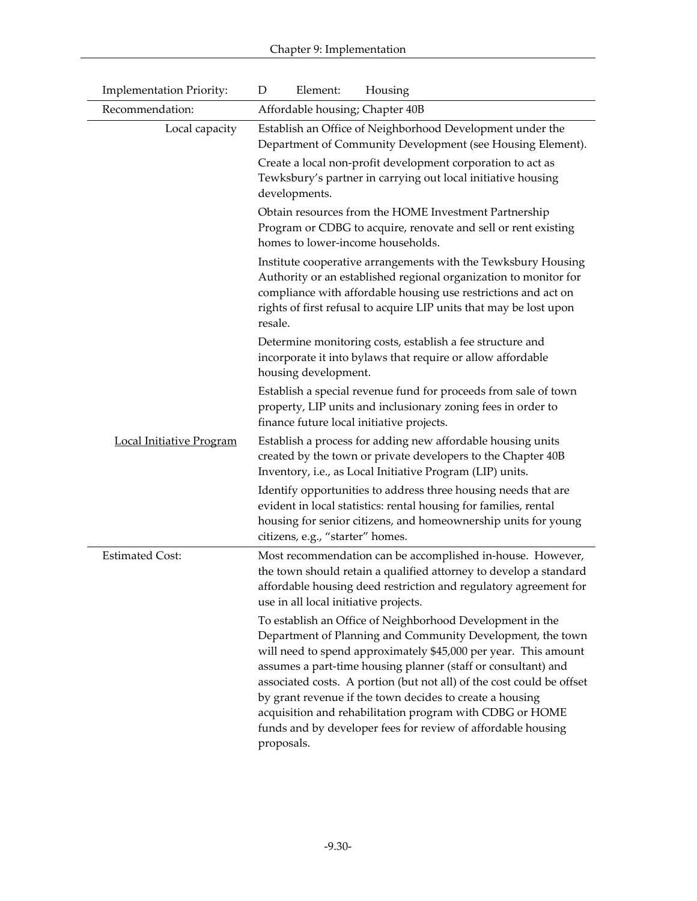| <b>Implementation Priority:</b> | Element:<br>Housing<br>D                                                                                                                                                                                                                                                                                                                                                                                                                                                                                                                   |  |  |
|---------------------------------|--------------------------------------------------------------------------------------------------------------------------------------------------------------------------------------------------------------------------------------------------------------------------------------------------------------------------------------------------------------------------------------------------------------------------------------------------------------------------------------------------------------------------------------------|--|--|
| Recommendation:                 | Affordable housing; Chapter 40B                                                                                                                                                                                                                                                                                                                                                                                                                                                                                                            |  |  |
| Local capacity                  | Establish an Office of Neighborhood Development under the<br>Department of Community Development (see Housing Element).                                                                                                                                                                                                                                                                                                                                                                                                                    |  |  |
|                                 | Create a local non-profit development corporation to act as<br>Tewksbury's partner in carrying out local initiative housing<br>developments.                                                                                                                                                                                                                                                                                                                                                                                               |  |  |
|                                 | Obtain resources from the HOME Investment Partnership<br>Program or CDBG to acquire, renovate and sell or rent existing<br>homes to lower-income households.                                                                                                                                                                                                                                                                                                                                                                               |  |  |
|                                 | Institute cooperative arrangements with the Tewksbury Housing<br>Authority or an established regional organization to monitor for<br>compliance with affordable housing use restrictions and act on<br>rights of first refusal to acquire LIP units that may be lost upon<br>resale.                                                                                                                                                                                                                                                       |  |  |
|                                 | Determine monitoring costs, establish a fee structure and<br>incorporate it into bylaws that require or allow affordable<br>housing development.                                                                                                                                                                                                                                                                                                                                                                                           |  |  |
|                                 | Establish a special revenue fund for proceeds from sale of town<br>property, LIP units and inclusionary zoning fees in order to<br>finance future local initiative projects.                                                                                                                                                                                                                                                                                                                                                               |  |  |
| <b>Local Initiative Program</b> | Establish a process for adding new affordable housing units<br>created by the town or private developers to the Chapter 40B<br>Inventory, i.e., as Local Initiative Program (LIP) units.                                                                                                                                                                                                                                                                                                                                                   |  |  |
|                                 | Identify opportunities to address three housing needs that are<br>evident in local statistics: rental housing for families, rental<br>housing for senior citizens, and homeownership units for young<br>citizens, e.g., "starter" homes.                                                                                                                                                                                                                                                                                                   |  |  |
| <b>Estimated Cost:</b>          | Most recommendation can be accomplished in-house. However,<br>the town should retain a qualified attorney to develop a standard<br>affordable housing deed restriction and regulatory agreement for<br>use in all local initiative projects.                                                                                                                                                                                                                                                                                               |  |  |
|                                 | To establish an Office of Neighborhood Development in the<br>Department of Planning and Community Development, the town<br>will need to spend approximately \$45,000 per year. This amount<br>assumes a part-time housing planner (staff or consultant) and<br>associated costs. A portion (but not all) of the cost could be offset<br>by grant revenue if the town decides to create a housing<br>acquisition and rehabilitation program with CDBG or HOME<br>funds and by developer fees for review of affordable housing<br>proposals. |  |  |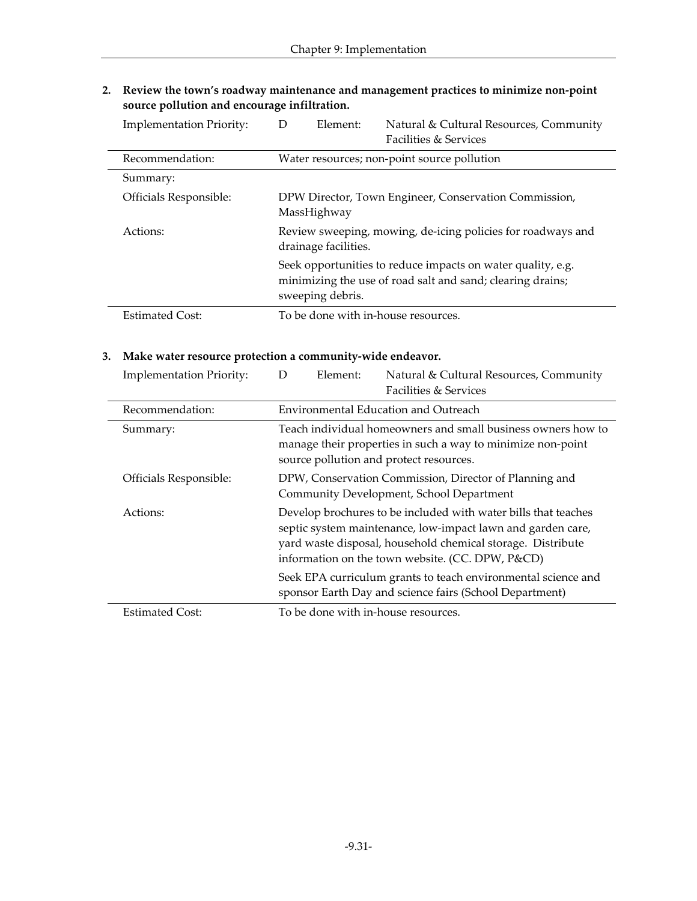**2. Review the town's roadway maintenance and management practices to minimize non-point source pollution and encourage infiltration.**

| <b>Implementation Priority:</b> | Element:<br>D                                                                       | Natural & Cultural Resources, Community<br><b>Facilities &amp; Services</b>                                               |
|---------------------------------|-------------------------------------------------------------------------------------|---------------------------------------------------------------------------------------------------------------------------|
| Recommendation:                 | Water resources; non-point source pollution                                         |                                                                                                                           |
| Summary:                        |                                                                                     |                                                                                                                           |
| Officials Responsible:          | MassHighway                                                                         | DPW Director, Town Engineer, Conservation Commission,                                                                     |
| Actions:                        | Review sweeping, mowing, de-icing policies for roadways and<br>drainage facilities. |                                                                                                                           |
|                                 | sweeping debris.                                                                    | Seek opportunities to reduce impacts on water quality, e.g.<br>minimizing the use of road salt and sand; clearing drains; |
| <b>Estimated Cost:</b>          | To be done with in-house resources.                                                 |                                                                                                                           |

#### **3. Make water resource protection a community-wide endeavor.**

| <b>Implementation Priority:</b> | Element:<br>D                       | Natural & Cultural Resources, Community<br><b>Facilities &amp; Services</b>                                                                                                                                                                      |
|---------------------------------|-------------------------------------|--------------------------------------------------------------------------------------------------------------------------------------------------------------------------------------------------------------------------------------------------|
| Recommendation:                 |                                     | Environmental Education and Outreach                                                                                                                                                                                                             |
| Summary:                        |                                     | Teach individual homeowners and small business owners how to<br>manage their properties in such a way to minimize non-point<br>source pollution and protect resources.                                                                           |
| Officials Responsible:          |                                     | DPW, Conservation Commission, Director of Planning and<br>Community Development, School Department                                                                                                                                               |
| Actions:                        |                                     | Develop brochures to be included with water bills that teaches<br>septic system maintenance, low-impact lawn and garden care,<br>yard waste disposal, household chemical storage. Distribute<br>information on the town website. (CC. DPW, P&CD) |
|                                 |                                     | Seek EPA curriculum grants to teach environmental science and<br>sponsor Earth Day and science fairs (School Department)                                                                                                                         |
| <b>Estimated Cost:</b>          | To be done with in-house resources. |                                                                                                                                                                                                                                                  |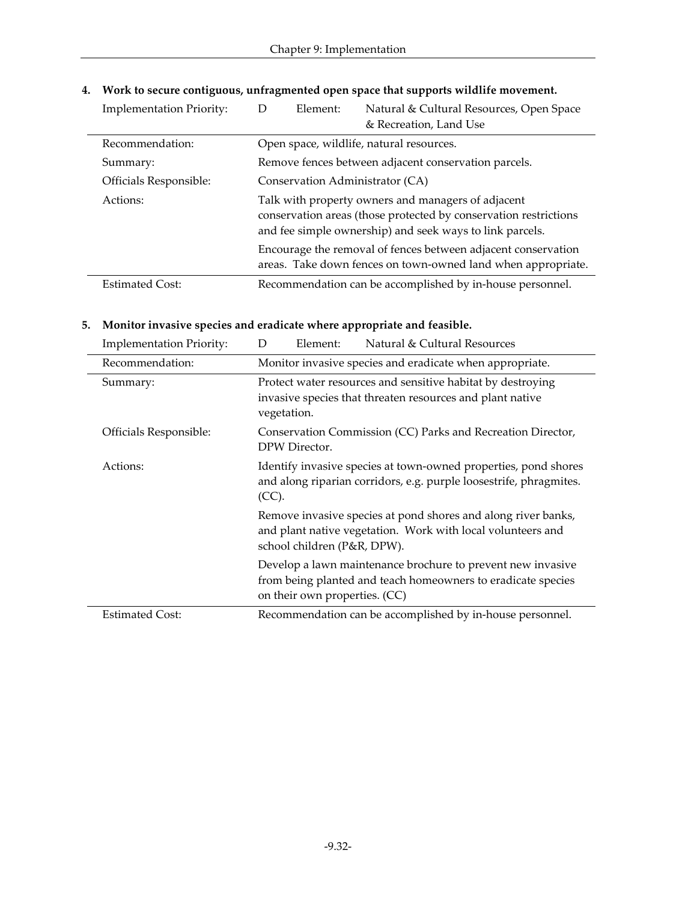| <b>Implementation Priority:</b> | Element:<br>Ð                                                                                                                                                                                                                                                                 | Natural & Cultural Resources, Open Space<br>& Recreation, Land Use                                                            |
|---------------------------------|-------------------------------------------------------------------------------------------------------------------------------------------------------------------------------------------------------------------------------------------------------------------------------|-------------------------------------------------------------------------------------------------------------------------------|
| Recommendation:                 | Open space, wildlife, natural resources.                                                                                                                                                                                                                                      |                                                                                                                               |
| Summary:                        | Remove fences between adjacent conservation parcels.<br>Conservation Administrator (CA)<br>Talk with property owners and managers of adjacent<br>conservation areas (those protected by conservation restrictions<br>and fee simple ownership) and seek ways to link parcels. |                                                                                                                               |
| Officials Responsible:          |                                                                                                                                                                                                                                                                               |                                                                                                                               |
| Actions:                        |                                                                                                                                                                                                                                                                               |                                                                                                                               |
|                                 |                                                                                                                                                                                                                                                                               | Encourage the removal of fences between adjacent conservation<br>areas. Take down fences on town-owned land when appropriate. |
| <b>Estimated Cost:</b>          |                                                                                                                                                                                                                                                                               | Recommendation can be accomplished by in-house personnel.                                                                     |

#### **4. Work to secure contiguous, unfragmented open space that supports wildlife movement.**

#### **5. Monitor invasive species and eradicate where appropriate and feasible.**

| <b>Implementation Priority:</b> | Natural & Cultural Resources<br>Element:<br>D                                                                                                                |  |
|---------------------------------|--------------------------------------------------------------------------------------------------------------------------------------------------------------|--|
| Recommendation:                 | Monitor invasive species and eradicate when appropriate.                                                                                                     |  |
| Summary:                        | Protect water resources and sensitive habitat by destroying<br>invasive species that threaten resources and plant native<br>vegetation.                      |  |
| Officials Responsible:          | Conservation Commission (CC) Parks and Recreation Director,<br>DPW Director.                                                                                 |  |
| Actions:                        | Identify invasive species at town-owned properties, pond shores<br>and along riparian corridors, e.g. purple loosestrife, phragmites.<br>(CC).               |  |
|                                 | Remove invasive species at pond shores and along river banks,<br>and plant native vegetation. Work with local volunteers and<br>school children (P&R, DPW).  |  |
|                                 | Develop a lawn maintenance brochure to prevent new invasive<br>from being planted and teach homeowners to eradicate species<br>on their own properties. (CC) |  |
| <b>Estimated Cost:</b>          | Recommendation can be accomplished by in-house personnel.                                                                                                    |  |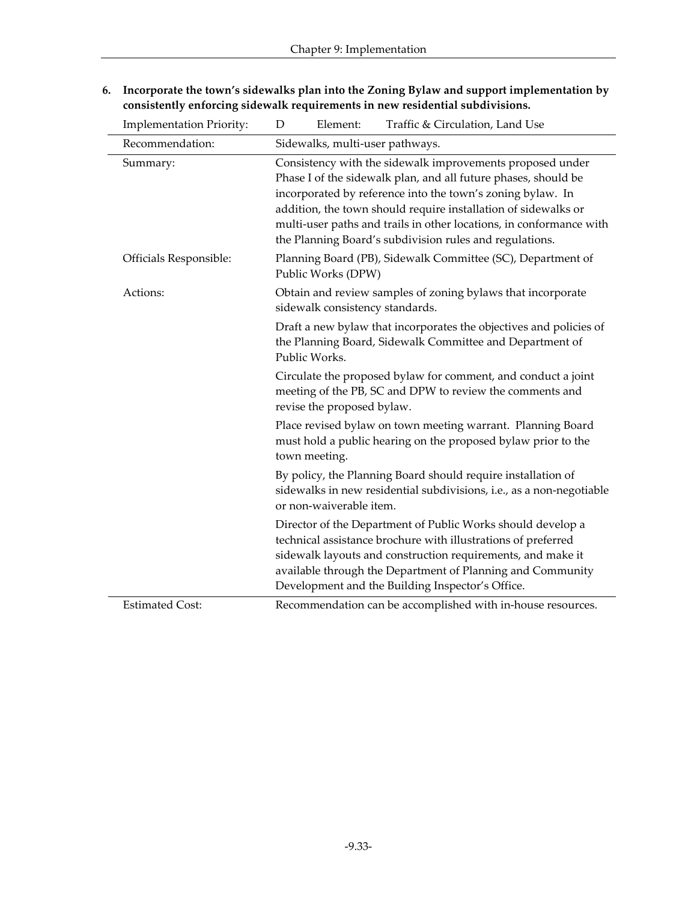| <b>Implementation Priority:</b> | Traffic & Circulation, Land Use<br>Element:<br>D                                                                                                                                                                                                                                                                                                                                              |
|---------------------------------|-----------------------------------------------------------------------------------------------------------------------------------------------------------------------------------------------------------------------------------------------------------------------------------------------------------------------------------------------------------------------------------------------|
| Recommendation:                 | Sidewalks, multi-user pathways.                                                                                                                                                                                                                                                                                                                                                               |
| Summary:                        | Consistency with the sidewalk improvements proposed under<br>Phase I of the sidewalk plan, and all future phases, should be<br>incorporated by reference into the town's zoning bylaw. In<br>addition, the town should require installation of sidewalks or<br>multi-user paths and trails in other locations, in conformance with<br>the Planning Board's subdivision rules and regulations. |
| Officials Responsible:          | Planning Board (PB), Sidewalk Committee (SC), Department of<br>Public Works (DPW)                                                                                                                                                                                                                                                                                                             |
| Actions:                        | Obtain and review samples of zoning bylaws that incorporate<br>sidewalk consistency standards.                                                                                                                                                                                                                                                                                                |
|                                 | Draft a new bylaw that incorporates the objectives and policies of<br>the Planning Board, Sidewalk Committee and Department of<br>Public Works.                                                                                                                                                                                                                                               |
|                                 | Circulate the proposed bylaw for comment, and conduct a joint<br>meeting of the PB, SC and DPW to review the comments and<br>revise the proposed bylaw.                                                                                                                                                                                                                                       |
|                                 | Place revised bylaw on town meeting warrant. Planning Board<br>must hold a public hearing on the proposed bylaw prior to the<br>town meeting.                                                                                                                                                                                                                                                 |
|                                 | By policy, the Planning Board should require installation of<br>sidewalks in new residential subdivisions, i.e., as a non-negotiable<br>or non-waiverable item.                                                                                                                                                                                                                               |
|                                 | Director of the Department of Public Works should develop a<br>technical assistance brochure with illustrations of preferred<br>sidewalk layouts and construction requirements, and make it<br>available through the Department of Planning and Community<br>Development and the Building Inspector's Office.                                                                                 |
| <b>Estimated Cost:</b>          | Recommendation can be accomplished with in-house resources.                                                                                                                                                                                                                                                                                                                                   |

**6. Incorporate the town's sidewalks plan into the Zoning Bylaw and support implementation by consistently enforcing sidewalk requirements in new residential subdivisions.**